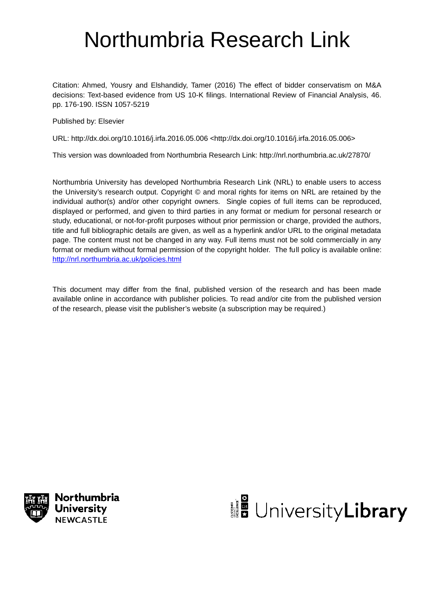# Northumbria Research Link

Citation: Ahmed, Yousry and Elshandidy, Tamer (2016) The effect of bidder conservatism on M&A decisions: Text-based evidence from US 10-K filings. International Review of Financial Analysis, 46. pp. 176-190. ISSN 1057-5219

Published by: Elsevier

URL: http://dx.doi.org/10.1016/j.irfa.2016.05.006 <http://dx.doi.org/10.1016/j.irfa.2016.05.006>

This version was downloaded from Northumbria Research Link: http://nrl.northumbria.ac.uk/27870/

Northumbria University has developed Northumbria Research Link (NRL) to enable users to access the University's research output. Copyright © and moral rights for items on NRL are retained by the individual author(s) and/or other copyright owners. Single copies of full items can be reproduced, displayed or performed, and given to third parties in any format or medium for personal research or study, educational, or not-for-profit purposes without prior permission or charge, provided the authors, title and full bibliographic details are given, as well as a hyperlink and/or URL to the original metadata page. The content must not be changed in any way. Full items must not be sold commercially in any format or medium without formal permission of the copyright holder. The full policy is available online: http://nrl.northumbria.ac.uk/policies.html

This document may differ from the final, published version of the research and has been made available online in accordance with publisher policies. To read and/or cite from the published version of the research, please visit the publisher's website (a subscription may be required.)



Northumbria **University NEWCASTLE** 

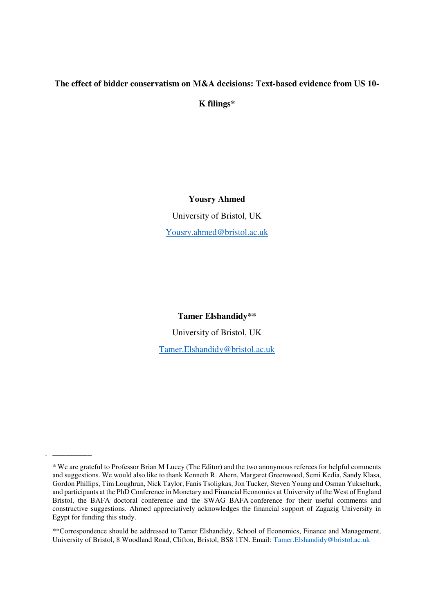# **The effect of bidder conservatism on M&A decisions: Text-based evidence from US 10-**

**K filings\*** 

# **Yousry Ahmed**

University of Bristol, UK [Yousry.ahmed@bristol.ac.uk](mailto:Yousry.ahmed@bristol.ac.uk) 

**Tamer Elshandidy\*\*** 

University of Bristol, UK

[Tamer.Elshandidy@bristol.ac.uk](mailto:Tamer.Elshandidy@bristol.ac.uk)

\_\_\_\_\_\_\_\_\_

\*\*Correspondence should be addressed to Tamer Elshandidy, School of Economics, Finance and Management, University of Bristol, 8 Woodland Road, Clifton, Bristol, BS8 1TN. Email: [Tamer.Elshandidy@bristol.ac.uk](mailto:Tamer.Elshandidy@bristol.ac.uk)

<sup>\*</sup> We are grateful to Professor Brian M Lucey (The Editor) and the two anonymous referees for helpful comments and suggestions. We would also like to thank Kenneth R. Ahern, Margaret Greenwood, Semi Kedia, Sandy Klasa, Gordon Phillips, Tim Loughran, Nick Taylor, Fanis Tsoligkas, Jon Tucker, Steven Young and Osman Yukselturk, and participants at the PhD Conference in Monetary and Financial Economics at [University of the West of England](http://www.uwe.ac.uk/)  Bristol, the BAFA doctoral conference and the SWAG BAFA conference for their useful comments and constructive suggestions. Ahmed appreciatively acknowledges the financial support of Zagazig University in Egypt for funding this study.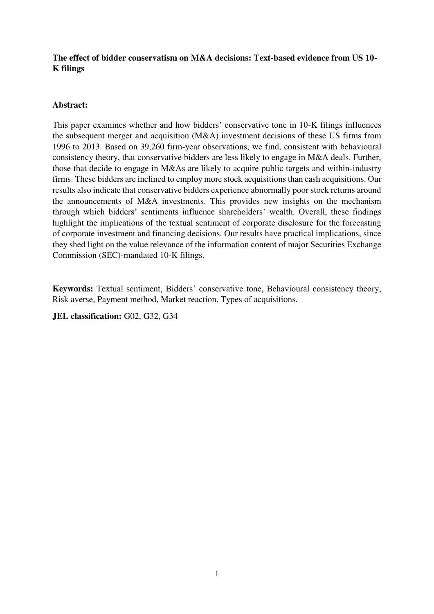# **The effect of bidder conservatism on M&A decisions: Text-based evidence from US 10- K filings**

# **Abstract:**

This paper examines whether and how bidders' conservative tone in 10-K filings influences the subsequent merger and acquisition (M&A) investment decisions of these US firms from 1996 to 2013. Based on 39,260 firm-year observations, we find, consistent with behavioural consistency theory, that conservative bidders are less likely to engage in M&A deals. Further, those that decide to engage in M&As are likely to acquire public targets and within-industry firms. These bidders are inclined to employ more stock acquisitions than cash acquisitions. Our results also indicate that conservative bidders experience abnormally poor stock returns around the announcements of M&A investments. This provides new insights on the mechanism through which bidders' sentiments influence shareholders' wealth. Overall, these findings highlight the implications of the textual sentiment of corporate disclosure for the forecasting of corporate investment and financing decisions. Our results have practical implications, since they shed light on the value relevance of the information content of major Securities Exchange Commission (SEC)-mandated 10-K filings.

**Keywords:** Textual sentiment, Bidders' conservative tone, Behavioural consistency theory, Risk averse, Payment method, Market reaction, Types of acquisitions.

**JEL classification:** G02, G32, G34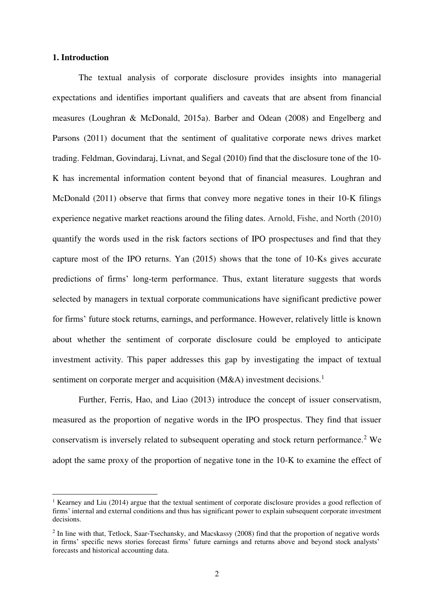# **1. Introduction**

 $\overline{a}$ 

The textual analysis of corporate disclosure provides insights into managerial expectations and identifies important qualifiers and caveats that are absent from financial measures (Loughran & McDonald, 2015a). Barber and Odean (2008) and Engelberg and Parsons (2011) document that the sentiment of qualitative corporate news drives market trading. Feldman, Govindaraj, Livnat, and Segal (2010) find that the disclosure tone of the 10- K has incremental information content beyond that of financial measures. Loughran and McDonald (2011) observe that firms that convey more negative tones in their 10-K filings experience negative market reactions around the filing dates. Arnold, Fishe, and North (2010) quantify the words used in the risk factors sections of IPO prospectuses and find that they capture most of the IPO returns. Yan (2015) shows that the tone of 10-Ks gives accurate predictions of firms' long-term performance. Thus, extant literature suggests that words selected by managers in textual corporate communications have significant predictive power for firms' future stock returns, earnings, and performance. However, relatively little is known about whether the sentiment of corporate disclosure could be employed to anticipate investment activity. This paper addresses this gap by investigating the impact of textual sentiment on corporate merger and acquisition (M&A) investment decisions.<sup>1</sup>

Further, Ferris, Hao, and Liao (2013) introduce the concept of issuer conservatism, measured as the proportion of negative words in the IPO prospectus. They find that issuer conservatism is inversely related to subsequent operating and stock return performance.<sup>2</sup> We adopt the same proxy of the proportion of negative tone in the 10-K to examine the effect of

<sup>&</sup>lt;sup>1</sup> Kearney and Liu (2014) argue that the textual sentiment of corporate disclosure provides a good reflection of firms' internal and external conditions and thus has significant power to explain subsequent corporate investment decisions.

<sup>&</sup>lt;sup>2</sup> In line with that, Tetlock, Saar-Tsechansky, and Macskassy (2008) find that the proportion of negative words in firms' specific news stories forecast firms' future earnings and returns above and beyond stock analysts' forecasts and historical accounting data.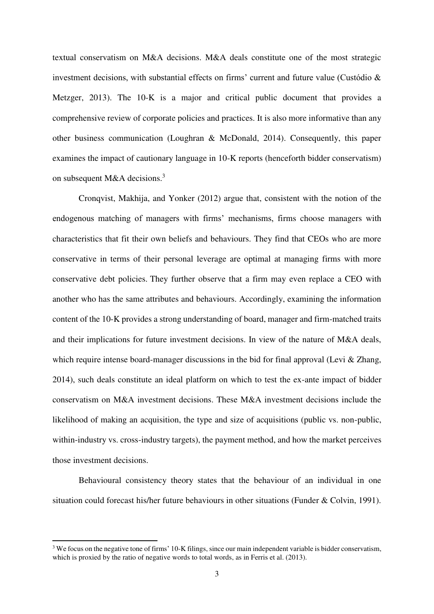textual conservatism on M&A decisions. M&A deals constitute one of the most strategic investment decisions, with substantial effects on firms' current and future value (Custódio & Metzger, 2013). The 10-K is a major and critical public document that provides a comprehensive review of corporate policies and practices. It is also more informative than any other business communication (Loughran & McDonald, 2014). Consequently, this paper examines the impact of cautionary language in 10-K reports (henceforth bidder conservatism) on subsequent M&A decisions.<sup>3</sup>

Cronqvist, Makhija, and Yonker (2012) argue that, consistent with the notion of the endogenous matching of managers with firms' mechanisms, firms choose managers with characteristics that fit their own beliefs and behaviours. They find that CEOs who are more conservative in terms of their personal leverage are optimal at managing firms with more conservative debt policies. They further observe that a firm may even replace a CEO with another who has the same attributes and behaviours. Accordingly, examining the information content of the 10-K provides a strong understanding of board, manager and firm-matched traits and their implications for future investment decisions. In view of the nature of M&A deals, which require intense board-manager discussions in the bid for final approval (Levi & Zhang, 2014), such deals constitute an ideal platform on which to test the ex-ante impact of bidder conservatism on M&A investment decisions. These M&A investment decisions include the likelihood of making an acquisition, the type and size of acquisitions (public vs. non-public, within-industry vs. cross-industry targets), the payment method, and how the market perceives those investment decisions.

Behavioural consistency theory states that the behaviour of an individual in one situation could forecast his/her future behaviours in other situations (Funder & Colvin, 1991).

<u>.</u>

<sup>&</sup>lt;sup>3</sup> We focus on the negative tone of firms' 10-K filings, since our main independent variable is bidder conservatism, which is proxied by the ratio of negative words to total words, as in Ferris et al. (2013).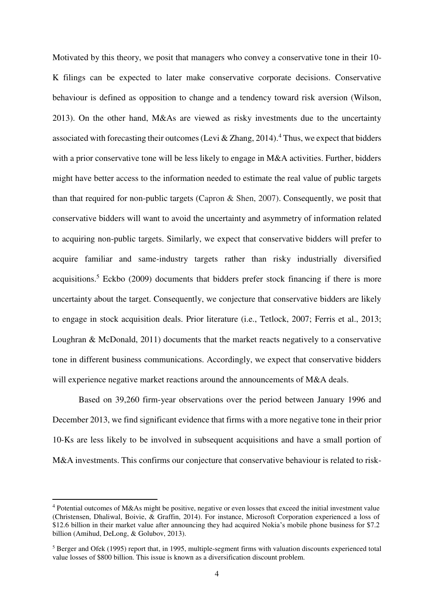Motivated by this theory, we posit that managers who convey a conservative tone in their 10- K filings can be expected to later make conservative corporate decisions. Conservative behaviour is defined as opposition to change and a tendency toward risk aversion (Wilson, 2013). On the other hand, M&As are viewed as risky investments due to the uncertainty associated with forecasting their outcomes (Levi & Zhang, 2014).<sup>4</sup> Thus, we expect that bidders with a prior conservative tone will be less likely to engage in M&A activities. Further, bidders might have better access to the information needed to estimate the real value of public targets than that required for non-public targets (Capron & Shen, 2007). Consequently, we posit that conservative bidders will want to avoid the uncertainty and asymmetry of information related to acquiring non-public targets. Similarly, we expect that conservative bidders will prefer to acquire familiar and same-industry targets rather than risky industrially diversified acquisitions.<sup>5</sup> Eckbo (2009) documents that bidders prefer stock financing if there is more uncertainty about the target. Consequently, we conjecture that conservative bidders are likely to engage in stock acquisition deals. Prior literature (i.e., Tetlock, 2007; Ferris et al., 2013; Loughran & McDonald, 2011) documents that the market reacts negatively to a conservative tone in different business communications. Accordingly, we expect that conservative bidders will experience negative market reactions around the announcements of M&A deals.

Based on 39,260 firm-year observations over the period between January 1996 and December 2013, we find significant evidence that firms with a more negative tone in their prior 10-Ks are less likely to be involved in subsequent acquisitions and have a small portion of M&A investments. This confirms our conjecture that conservative behaviour is related to risk-

<u>.</u>

<sup>&</sup>lt;sup>4</sup> Potential outcomes of M&As might be positive, negative or even losses that exceed the initial investment value (Christensen, Dhaliwal, Boivie, & Graffin, 2014). For instance, Microsoft Corporation experienced a loss of \$12.6 billion in their market value after announcing they had acquired Nokia's mobile phone business for \$7.2 billion (Amihud, DeLong, & Golubov, 2013).

 $<sup>5</sup>$  Berger and Ofek (1995) report that, in 1995, multiple-segment firms with valuation discounts experienced total</sup> value losses of \$800 billion. This issue is known as a diversification discount problem.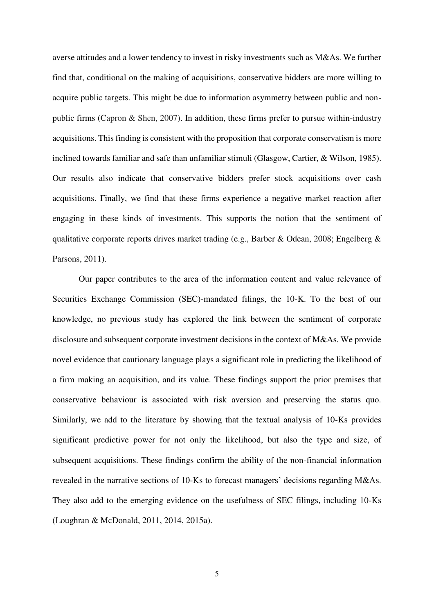averse attitudes and a lower tendency to invest in risky investments such as M&As. We further find that, conditional on the making of acquisitions, conservative bidders are more willing to acquire public targets. This might be due to information asymmetry between public and nonpublic firms (Capron & Shen, 2007). In addition, these firms prefer to pursue within-industry acquisitions. This finding is consistent with the proposition that corporate conservatism is more inclined towards familiar and safe than unfamiliar stimuli (Glasgow, Cartier, & Wilson, 1985). Our results also indicate that conservative bidders prefer stock acquisitions over cash acquisitions. Finally, we find that these firms experience a negative market reaction after engaging in these kinds of investments. This supports the notion that the sentiment of qualitative corporate reports drives market trading (e.g., Barber & Odean, 2008; Engelberg & Parsons, 2011).

Our paper contributes to the area of the information content and value relevance of Securities Exchange Commission (SEC)-mandated filings, the 10-K. To the best of our knowledge, no previous study has explored the link between the sentiment of corporate disclosure and subsequent corporate investment decisions in the context of M&As. We provide novel evidence that cautionary language plays a significant role in predicting the likelihood of a firm making an acquisition, and its value. These findings support the prior premises that conservative behaviour is associated with risk aversion and preserving the status quo. Similarly, we add to the literature by showing that the textual analysis of 10-Ks provides significant predictive power for not only the likelihood, but also the type and size, of subsequent acquisitions. These findings confirm the ability of the non-financial information revealed in the narrative sections of 10-Ks to forecast managers' decisions regarding M&As. They also add to the emerging evidence on the usefulness of SEC filings, including 10-Ks (Loughran & McDonald, 2011, 2014, 2015a).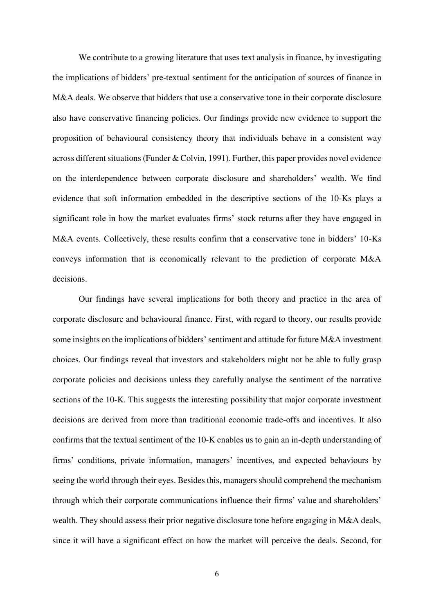We contribute to a growing literature that uses text analysis in finance, by investigating the implications of bidders' pre-textual sentiment for the anticipation of sources of finance in M&A deals. We observe that bidders that use a conservative tone in their corporate disclosure also have conservative financing policies. Our findings provide new evidence to support the proposition of behavioural consistency theory that individuals behave in a consistent way across different situations (Funder & Colvin, 1991). Further, this paper provides novel evidence on the interdependence between corporate disclosure and shareholders' wealth. We find evidence that soft information embedded in the descriptive sections of the 10-Ks plays a significant role in how the market evaluates firms' stock returns after they have engaged in M&A events. Collectively, these results confirm that a conservative tone in bidders' 10-Ks conveys information that is economically relevant to the prediction of corporate M&A decisions.

Our findings have several implications for both theory and practice in the area of corporate disclosure and behavioural finance. First, with regard to theory, our results provide some insights on the implications of bidders' sentiment and attitude for future M&A investment choices. Our findings reveal that investors and stakeholders might not be able to fully grasp corporate policies and decisions unless they carefully analyse the sentiment of the narrative sections of the 10-K. This suggests the interesting possibility that major corporate investment decisions are derived from more than traditional economic trade-offs and incentives. It also confirms that the textual sentiment of the 10-K enables us to gain an in-depth understanding of firms' conditions, private information, managers' incentives, and expected behaviours by seeing the world through their eyes. Besides this, managers should comprehend the mechanism through which their corporate communications influence their firms' value and shareholders' wealth. They should assess their prior negative disclosure tone before engaging in M&A deals, since it will have a significant effect on how the market will perceive the deals. Second, for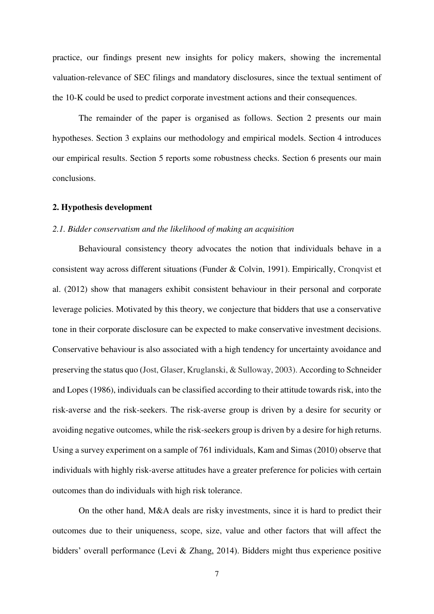practice, our findings present new insights for policy makers, showing the incremental valuation-relevance of SEC filings and mandatory disclosures, since the textual sentiment of the 10-K could be used to predict corporate investment actions and their consequences.

The remainder of the paper is organised as follows. Section 2 presents our main hypotheses. Section 3 explains our methodology and empirical models. Section 4 introduces our empirical results. Section 5 reports some robustness checks. Section 6 presents our main conclusions.

#### **2. Hypothesis development**

## *2.1. Bidder conservatism and the likelihood of making an acquisition*

Behavioural consistency theory advocates the notion that individuals behave in a consistent way across different situations (Funder & Colvin, 1991). Empirically, Cronqvist et al. (2012) show that managers exhibit consistent behaviour in their personal and corporate leverage policies. Motivated by this theory, we conjecture that bidders that use a conservative tone in their corporate disclosure can be expected to make conservative investment decisions. Conservative behaviour is also associated with a high tendency for uncertainty avoidance and preserving the status quo (Jost, Glaser, Kruglanski, & Sulloway, 2003). According to Schneider and Lopes [\(1986\)](http://www.jstor.org/stable/10.1017/S0022381609990806#ref47), individuals can be classified according to their attitude towards risk, into the risk-averse and the risk-seekers. The risk-averse group is driven by a desire for security or avoiding negative outcomes, while the risk-seekers group is driven by a desire for high returns. Using a survey experiment on a sample of 761 individuals, Kam and Simas (2010) observe that individuals with highly risk-averse attitudes have a greater preference for policies with certain outcomes than do individuals with high risk tolerance.

On the other hand, M&A deals are risky investments, since it is hard to predict their outcomes due to their uniqueness, scope, size, value and other factors that will affect the bidders' overall performance (Levi & Zhang, 2014). Bidders might thus experience positive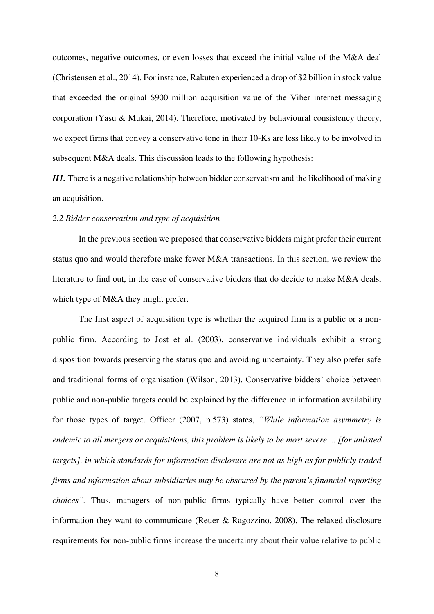outcomes, negative outcomes, or even losses that exceed the initial value of the M&A deal (Christensen et al., 2014). For instance, Rakuten experienced a drop of \$2 billion in stock value that exceeded the original \$900 million acquisition value of the Viber internet messaging corporation (Yasu & Mukai, 2014). Therefore, motivated by behavioural consistency theory, we expect firms that convey a conservative tone in their 10-Ks are less likely to be involved in subsequent M&A deals. This discussion leads to the following hypothesis:

*H1*. There is a negative relationship between bidder conservatism and the likelihood of making an acquisition.

## *2.2 Bidder conservatism and type of acquisition*

In the previous section we proposed that conservative bidders might prefer their current status quo and would therefore make fewer M&A transactions. In this section, we review the literature to find out, in the case of conservative bidders that do decide to make M&A deals, which type of M&A they might prefer.

The first aspect of acquisition type is whether the acquired firm is a public or a nonpublic firm. According to Jost et al. (2003), conservative individuals exhibit a strong disposition towards preserving the status quo and avoiding uncertainty. They also prefer safe and traditional forms of organisation (Wilson, 2013). Conservative bidders' choice between public and non-public targets could be explained by the difference in information availability for those types of target. Officer (2007, p.573) states, *"While information asymmetry is endemic to all mergers or acquisitions, this problem is likely to be most severe ... [for unlisted targets], in which standards for information disclosure are not as high as for publicly traded firms and information about subsidiaries may be obscured by the parent's financial reporting choices".* Thus, managers of non-public firms typically have better control over the information they want to communicate (Reuer & Ragozzino, 2008). The relaxed disclosure requirements for non-public firms increase the uncertainty about their value relative to public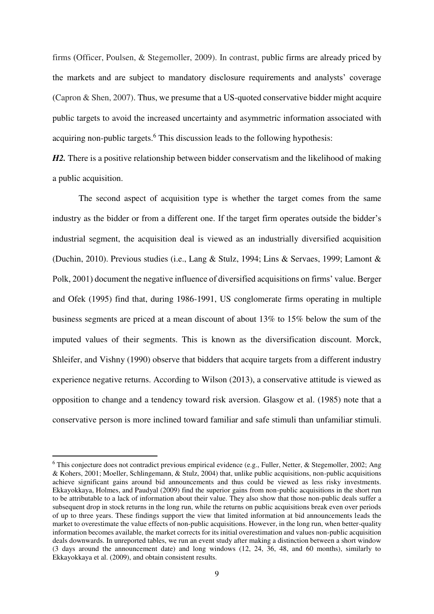firms (Officer, Poulsen, & Stegemoller, 2009). In contrast, public firms are already priced by the markets and are subject to mandatory disclosure requirements and analysts' coverage (Capron & Shen, 2007). Thus, we presume that a US-quoted conservative bidder might acquire public targets to avoid the increased uncertainty and asymmetric information associated with acquiring non-public targets.<sup>6</sup> This discussion leads to the following hypothesis:

*H2*. There is a positive relationship between bidder conservatism and the likelihood of making a public acquisition.

The second aspect of acquisition type is whether the target comes from the same industry as the bidder or from a different one. If the target firm operates outside the bidder's industrial segment, the acquisition deal is viewed as an industrially diversified acquisition (Duchin, 2010). Previous studies (i.e., Lang & Stulz, 1994; Lins & Servaes, 1999; Lamont & Polk, 2001) document the negative influence of diversified acquisitions on firms' value. Berger and Ofek (1995) find that, during 1986-1991, US conglomerate firms operating in multiple business segments are priced at a mean discount of about 13% to 15% below the sum of the imputed values of their segments. This is known as the diversification discount. Morck, Shleifer, and Vishny (1990) observe that bidders that acquire targets from a different industry experience negative returns. According to Wilson (2013), a conservative attitude is viewed as opposition to change and a tendency toward risk aversion. Glasgow et al. (1985) note that a conservative person is more inclined toward familiar and safe stimuli than unfamiliar stimuli.

 $\overline{a}$ 

<sup>&</sup>lt;sup>6</sup> This conjecture does not contradict previous empirical evidence (e.g., Fuller, Netter, & Stegemoller, 2002; Ang & Kohers, 2001; Moeller, Schlingemann, & Stulz, 2004) that, unlike public acquisitions, non-public acquisitions achieve significant gains around bid announcements and thus could be viewed as less risky investments. Ekkayokkaya, Holmes, and Paudyal (2009) find the superior gains from non-public acquisitions in the short run to be attributable to a lack of information about their value. They also show that those non-public deals suffer a subsequent drop in stock returns in the long run, while the returns on public acquisitions break even over periods of up to three years. These findings support the view that limited information at bid announcements leads the market to overestimate the value effects of non-public acquisitions. However, in the long run, when better-quality information becomes available, the market corrects for its initial overestimation and values non-public acquisition deals downwards. In unreported tables, we run an event study after making a distinction between a short window (3 days around the announcement date) and long windows (12, 24, 36, 48, and 60 months), similarly to Ekkayokkaya et al. (2009), and obtain consistent results.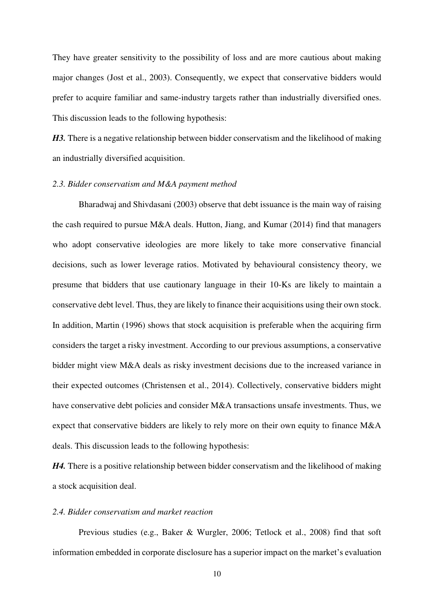They have greater sensitivity to the possibility of loss and are more cautious about making major changes (Jost et al., 2003). Consequently, we expect that conservative bidders would prefer to acquire familiar and same-industry targets rather than industrially diversified ones. This discussion leads to the following hypothesis:

H3. There is a negative relationship between bidder conservatism and the likelihood of making an industrially diversified acquisition.

#### *2.3. Bidder conservatism and M&A payment method*

Bharadwaj and Shivdasani (2003) observe that debt issuance is the main way of raising the cash required to pursue M&A deals. Hutton, Jiang, and Kumar (2014) find that managers who adopt conservative ideologies are more likely to take more conservative financial decisions, such as lower leverage ratios. Motivated by behavioural consistency theory, we presume that bidders that use cautionary language in their 10-Ks are likely to maintain a conservative debt level. Thus, they are likely to finance their acquisitions using their own stock. In addition, Martin (1996) shows that stock acquisition is preferable when the acquiring firm considers the target a risky investment. According to our previous assumptions, a conservative bidder might view M&A deals as risky investment decisions due to the increased variance in their expected outcomes (Christensen et al., 2014). Collectively, conservative bidders might have conservative debt policies and consider M&A transactions unsafe investments. Thus, we expect that conservative bidders are likely to rely more on their own equity to finance M&A deals. This discussion leads to the following hypothesis:

*H4*. There is a positive relationship between bidder conservatism and the likelihood of making a stock acquisition deal.

## *2.4. Bidder conservatism and market reaction*

Previous studies (e.g., Baker & Wurgler, 2006; Tetlock et al., 2008) find that soft information embedded in corporate disclosure has a superior impact on the market's evaluation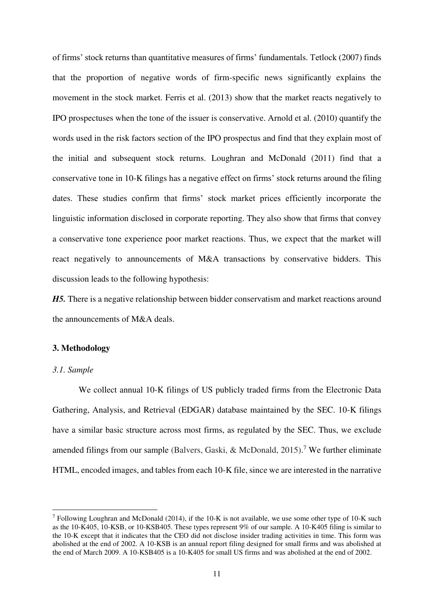of firms' stock returns than quantitative measures of firms' fundamentals. Tetlock (2007) finds that the proportion of negative words of firm-specific news significantly explains the movement in the stock market. Ferris et al. (2013) show that the market reacts negatively to IPO prospectuses when the tone of the issuer is conservative. Arnold et al. (2010) quantify the words used in the risk factors section of the IPO prospectus and find that they explain most of the initial and subsequent stock returns. Loughran and McDonald (2011) find that a conservative tone in 10-K filings has a negative effect on firms' stock returns around the filing dates. These studies confirm that firms' stock market prices efficiently incorporate the linguistic information disclosed in corporate reporting. They also show that firms that convey a conservative tone experience poor market reactions. Thus, we expect that the market will react negatively to announcements of M&A transactions by conservative bidders. This discussion leads to the following hypothesis:

*H5.* There is a negative relationship between bidder conservatism and market reactions around the announcements of M&A deals.

# **3. Methodology**

## *3.1. Sample*

<u>.</u>

We collect annual 10-K filings of US publicly traded firms from the Electronic Data Gathering, Analysis, and Retrieval (EDGAR) database maintained by the SEC. 10-K filings have a similar basic structure across most firms, as regulated by the SEC. Thus, we exclude amended filings from our sample (Balvers, Gaski, & McDonald, 2015).<sup>7</sup> We further eliminate HTML, encoded images, and tables from each 10-K file, since we are interested in the narrative

<sup>&</sup>lt;sup>7</sup> Following Loughran and McDonald (2014), if the 10-K is not available, we use some other type of 10-K such as the 10-K405, 10-KSB, or 10-KSB405. These types represent 9% of our sample. A 10-K405 filing is similar to the 10-K except that it indicates that the CEO did not disclose insider trading activities in time. This form was abolished at the end of 2002. A 10-KSB is an annual report filing designed for small firms and was abolished at the end of March 2009. A 10-KSB405 is a 10-K405 for small US firms and was abolished at the end of 2002.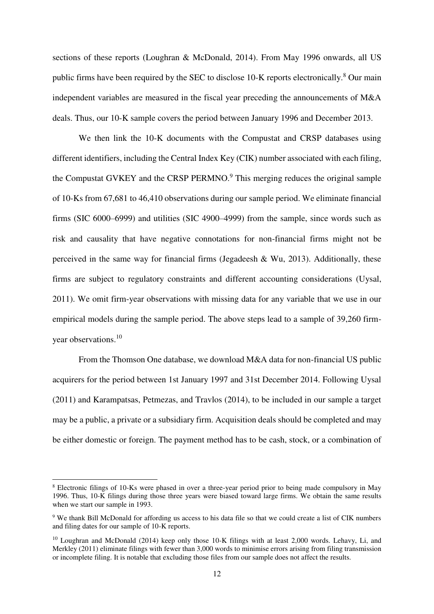sections of these reports (Loughran & McDonald, 2014). From May 1996 onwards, all US public firms have been required by the SEC to disclose 10-K reports electronically.<sup>8</sup> Our main independent variables are measured in the fiscal year preceding the announcements of M&A deals. Thus, our 10-K sample covers the period between January 1996 and December 2013.

We then link the 10-K documents with the Compustat and CRSP databases using different identifiers, including the Central Index Key (CIK) number associated with each filing, the Compustat GVKEY and the CRSP PERMNO.<sup>9</sup> This merging reduces the original sample of 10-Ks from 67,681 to 46,410 observations during our sample period. We eliminate financial firms (SIC 6000–6999) and utilities (SIC 4900–4999) from the sample, since words such as risk and causality that have negative connotations for non-financial firms might not be perceived in the same way for financial firms (Jegadeesh  $& Wu, 2013$ ). Additionally, these firms are subject to regulatory constraints and different accounting considerations (Uysal, 2011). We omit firm-year observations with missing data for any variable that we use in our empirical models during the sample period. The above steps lead to a sample of 39,260 firmyear observations.<sup>10</sup>

From the Thomson One database, we download M&A data for non-financial US public acquirers for the period between 1st January 1997 and 31st December 2014. Following Uysal (2011) and Karampatsas, Petmezas, and Travlos (2014), to be included in our sample a target may be a public, a private or a subsidiary firm. Acquisition deals should be completed and may be either domestic or foreign. The payment method has to be cash, stock, or a combination of

 $\overline{a}$ 

<sup>&</sup>lt;sup>8</sup> Electronic filings of 10-Ks were phased in over a three-year period prior to being made compulsory in May 1996. Thus, 10-K filings during those three years were biased toward large firms. We obtain the same results when we start our sample in 1993.

<sup>9</sup> We thank Bill McDonald for affording us access to his data file so that we could create a list of CIK numbers and filing dates for our sample of 10-K reports.

<sup>10</sup> Loughran and McDonald (2014) keep only those 10-K filings with at least 2,000 words. Lehavy, Li, and Merkley (2011) eliminate filings with fewer than 3,000 words to minimise errors arising from filing transmission or incomplete filing. It is notable that excluding those files from our sample does not affect the results.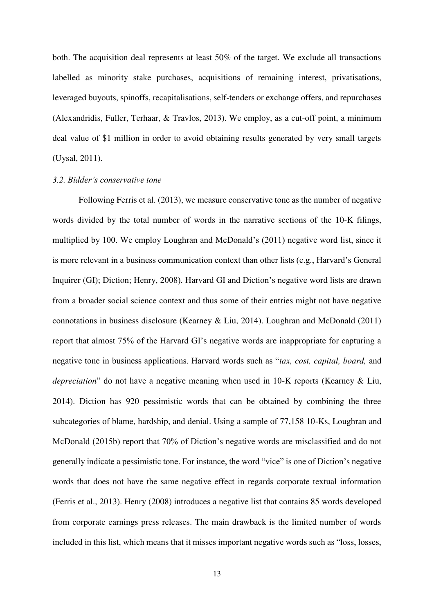both. The acquisition deal represents at least 50% of the target. We exclude all transactions labelled as minority stake purchases, acquisitions of remaining interest, privatisations, leveraged buyouts, spinoffs, recapitalisations, self-tenders or exchange offers, and repurchases (Alexandridis, Fuller, Terhaar, & Travlos, 2013). We employ, as a cut-off point, a minimum deal value of \$1 million in order to avoid obtaining results generated by very small targets (Uysal, 2011).

#### *3.2. Bidder's conservative tone*

Following Ferris et al. (2013), we measure conservative tone as the number of negative words divided by the total number of words in the narrative sections of the 10-K filings, multiplied by 100. We employ Loughran and McDonald's (2011) negative word list, since it is more relevant in a business communication context than other lists (e.g., Harvard's General Inquirer (GI); Diction; Henry, 2008). Harvard GI and Diction's negative word lists are drawn from a broader social science context and thus some of their entries might not have negative connotations in business disclosure (Kearney & Liu, 2014). Loughran and McDonald (2011) report that almost 75% of the Harvard GI's negative words are inappropriate for capturing a negative tone in business applications. Harvard words such as "*tax, cost, capital, board,* and *depreciation*" do not have a negative meaning when used in 10-K reports (Kearney & Liu, 2014). Diction has 920 pessimistic words that can be obtained by combining the three subcategories of blame, hardship, and denial. Using a sample of 77,158 10-Ks, Loughran and McDonald (2015b) report that 70% of Diction's negative words are misclassified and do not generally indicate a pessimistic tone. For instance, the word "vice" is one of Diction's negative words that does not have the same negative effect in regards corporate textual information (Ferris et al., 2013). Henry (2008) introduces a negative list that contains 85 words developed from corporate earnings press releases. The main drawback is the limited number of words included in this list, which means that it misses important negative words such as "loss, losses,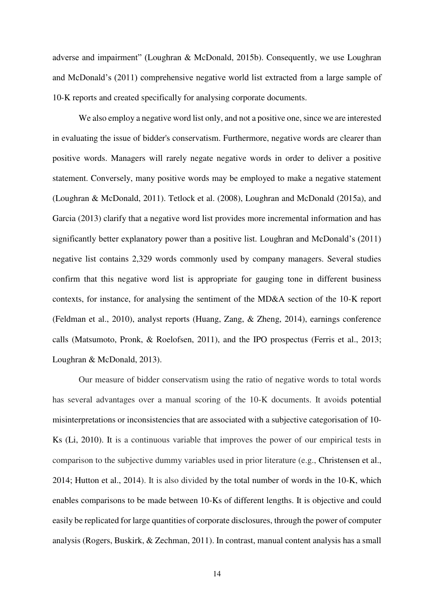adverse and impairment" (Loughran & McDonald, 2015b). Consequently, we use Loughran and McDonald's (2011) comprehensive negative world list extracted from a large sample of 10-K reports and created specifically for analysing corporate documents.

We also employ a negative word list only, and not a positive one, since we are interested in evaluating the issue of bidder's conservatism. Furthermore, negative words are clearer than positive words. Managers will rarely negate negative words in order to deliver a positive statement. Conversely, many positive words may be employed to make a negative statement (Loughran & McDonald, 2011). Tetlock et al. (2008), Loughran and McDonald (2015a), and Garcia (2013) clarify that a negative word list provides more incremental information and has significantly better explanatory power than a positive list. Loughran and McDonald's (2011) negative list contains 2,329 words commonly used by company managers. Several studies confirm that this negative word list is appropriate for gauging tone in different business contexts, for instance, for analysing the sentiment of the MD&A section of the 10-K report (Feldman et al., 2010), analyst reports (Huang, Zang, & Zheng, 2014), earnings conference calls (Matsumoto, Pronk, & Roelofsen, 2011), and the IPO prospectus (Ferris et al., 2013; Loughran & McDonald, 2013).

Our measure of bidder conservatism using the ratio of negative words to total words has several advantages over a manual scoring of the 10-K documents. It avoids potential misinterpretations or inconsistencies that are associated with a subjective categorisation of 10- Ks (Li, 2010). It is a continuous variable that improves the power of our empirical tests in comparison to the subjective dummy variables used in prior literature (e.g., Christensen et al., 2014; Hutton et al., 2014). It is also divided by the total number of words in the 10-K, which enables comparisons to be made between 10-Ks of different lengths. It is objective and could easily be replicated for large quantities of corporate disclosures, through the power of computer analysis (Rogers, Buskirk, & Zechman, 2011). In contrast, manual content analysis has a small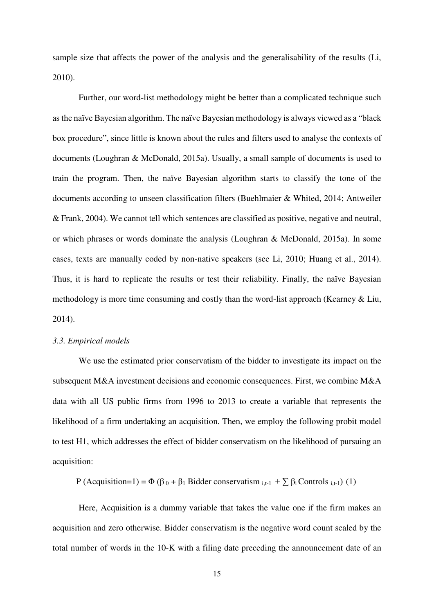sample size that affects the power of the analysis and the generalisability of the results (Li, 2010).

Further, our word-list methodology might be better than a complicated technique such as the naïve Bayesian algorithm. The naïve Bayesian methodology is always viewed as a "black box procedure", since little is known about the rules and filters used to analyse the contexts of documents (Loughran & McDonald, 2015a). Usually, a small sample of documents is used to train the program. Then, the naïve Bayesian algorithm starts to classify the tone of the documents according to unseen classification filters (Buehlmaier & Whited, 2014; Antweiler & Frank, 2004). We cannot tell which sentences are classified as positive, negative and neutral, or which phrases or words dominate the analysis (Loughran & McDonald, 2015a). In some cases, texts are manually coded by non-native speakers (see Li, 2010; Huang et al., 2014). Thus, it is hard to replicate the results or test their reliability. Finally, the naïve Bayesian methodology is more time consuming and costly than the word-list approach (Kearney & Liu, 2014).

#### *3.3. Empirical models*

We use the estimated prior conservatism of the bidder to investigate its impact on the subsequent M&A investment decisions and economic consequences. First, we combine M&A data with all US public firms from 1996 to 2013 to create a variable that represents the likelihood of a firm undertaking an acquisition. Then, we employ the following probit model to test H1, which addresses the effect of bidder conservatism on the likelihood of pursuing an acquisition:

P (Acquisition=1) =  $\Phi$  ( $\beta_0$  +  $\beta_1$  Bidder conservatism  $_{i,t-1}$  +  $\sum \beta_i$  Controls  $_{i,t-1}$ ) (1)

Here, Acquisition is a dummy variable that takes the value one if the firm makes an acquisition and zero otherwise. Bidder conservatism is the negative word count scaled by the total number of words in the 10-K with a filing date preceding the announcement date of an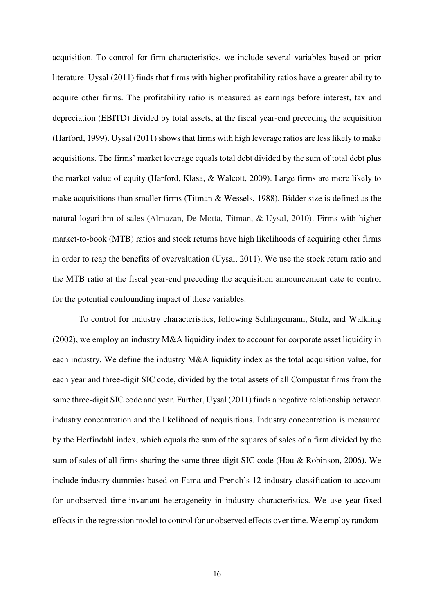acquisition. To control for firm characteristics, we include several variables based on prior literature. Uysal (2011) finds that firms with higher profitability ratios have a greater ability to acquire other firms. The profitability ratio is measured as earnings before interest, tax and depreciation (EBITD) divided by total assets, at the fiscal year-end preceding the acquisition (Harford, 1999). Uysal (2011) shows that firms with high leverage ratios are less likely to make acquisitions. The firms' market leverage equals total debt divided by the sum of total debt plus the market value of equity (Harford, Klasa, & Walcott, 2009). Large firms are more likely to make acquisitions than smaller firms (Titman & Wessels, 1988). Bidder size is defined as the natural logarithm of sales (Almazan, De Motta, Titman, & Uysal, 2010). Firms with higher market-to-book (MTB) ratios and stock returns have high likelihoods of acquiring other firms in order to reap the benefits of overvaluation (Uysal, 2011). We use the stock return ratio and the MTB ratio at the fiscal year-end preceding the acquisition announcement date to control for the potential confounding impact of these variables.

To control for industry characteristics, following Schlingemann, Stulz, and Walkling  $(2002)$ , we employ an industry M&A liquidity index to account for corporate asset liquidity in each industry. We define the industry M&A liquidity index as the total acquisition value, for each year and three-digit SIC code, divided by the total assets of all Compustat firms from the same three-digit SIC code and year. Further, Uysal (2011) finds a negative relationship between industry concentration and the likelihood of acquisitions. Industry concentration is measured by the Herfindahl index, which equals the sum of the squares of sales of a firm divided by the sum of sales of all firms sharing the same three-digit SIC code (Hou & Robinson, 2006). We include industry dummies based on Fama and French's 12-industry classification to account for unobserved time-invariant heterogeneity in industry characteristics. We use year-fixed effects in the regression model to control for unobserved effects over time. We employ random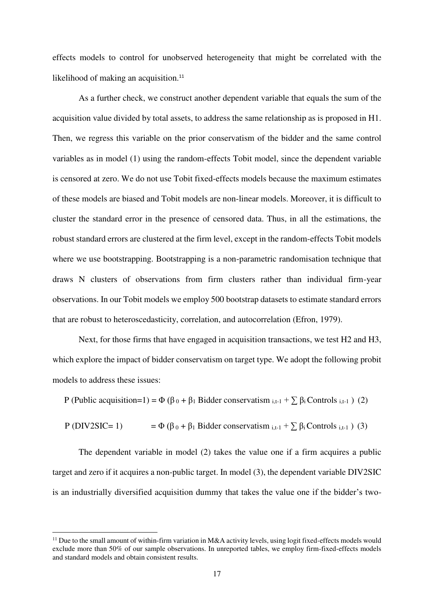effects models to control for unobserved heterogeneity that might be correlated with the likelihood of making an acquisition.<sup>11</sup>

As a further check, we construct another dependent variable that equals the sum of the acquisition value divided by total assets, to address the same relationship as is proposed in H1. Then, we regress this variable on the prior conservatism of the bidder and the same control variables as in model (1) using the random-effects Tobit model, since the dependent variable is censored at zero. We do not use Tobit fixed-effects models because the maximum estimates of these models are biased and Tobit models are non-linear models. Moreover, it is difficult to cluster the standard error in the presence of censored data. Thus, in all the estimations, the robust standard errors are clustered at the firm level, except in the random-effects Tobit models where we use bootstrapping. Bootstrapping is a non-parametric randomisation technique that draws N clusters of observations from firm clusters rather than individual firm-year observations. In our Tobit models we employ 500 bootstrap datasets to estimate standard errors that are robust to heteroscedasticity, correlation, and autocorrelation (Efron, 1979).

Next, for those firms that have engaged in acquisition transactions, we test H2 and H3, which explore the impact of bidder conservatism on target type. We adopt the following probit models to address these issues:

P (Public acquisition=1) =  $\Phi$  ( $\beta_0$  +  $\beta_1$  Bidder conservatism  $_{i,t-1}$  +  $\sum \beta_i$  Controls  $_{i,t-1}$ ) (2)

P (DIV2SIC= 1) =  $\Phi (\beta_0 + \beta_1 \text{ Bidder conservation }_{i,t-1} + \sum \beta_i \text{Contents }_{i,t-1})$  (3)

The dependent variable in model (2) takes the value one if a firm acquires a public target and zero if it acquires a non-public target. In model (3), the dependent variable DIV2SIC is an industrially diversified acquisition dummy that takes the value one if the bidder's two-

 $\overline{a}$ 

<sup>&</sup>lt;sup>11</sup> Due to the small amount of within-firm variation in M&A activity levels, using logit fixed-effects models would exclude more than 50% of our sample observations. In unreported tables, we employ firm-fixed-effects models and standard models and obtain consistent results.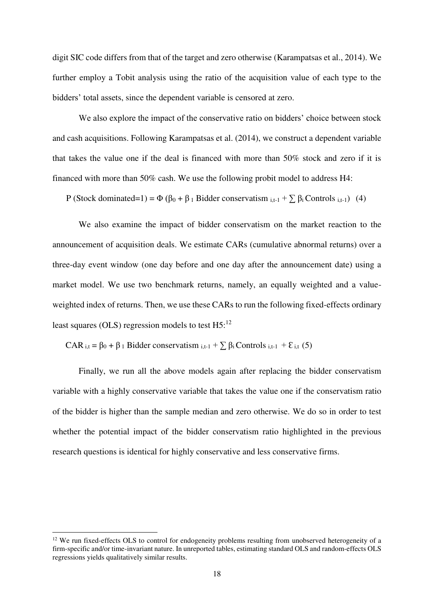digit SIC code differs from that of the target and zero otherwise (Karampatsas et al., 2014). We further employ a Tobit analysis using the ratio of the acquisition value of each type to the bidders' total assets, since the dependent variable is censored at zero.

We also explore the impact of the conservative ratio on bidders' choice between stock and cash acquisitions. Following Karampatsas et al. (2014), we construct a dependent variable that takes the value one if the deal is financed with more than 50% stock and zero if it is financed with more than 50% cash. We use the following probit model to address H4:

P (Stock dominated=1) =  $\Phi$  ( $\beta_0$  +  $\beta_1$  Bidder conservatism <sub>i,t-1</sub> +  $\sum \beta_i$  Controls <sub>i,t-1</sub>) (4)

We also examine the impact of bidder conservatism on the market reaction to the announcement of acquisition deals. We estimate CARs (cumulative abnormal returns) over a three-day event window (one day before and one day after the announcement date) using a market model. We use two benchmark returns, namely, an equally weighted and a valueweighted index of returns. Then, we use these CARs to run the following fixed-effects ordinary least squares (OLS) regression models to test  $H5$ <sup>12</sup>

CAR  $i,t = \beta_0 + \beta_1$  Bidder conservatism  $i,t-1 + \sum \beta_i$  Controls  $i,t-1 + \epsilon_{i,t}$  (5)

Finally, we run all the above models again after replacing the bidder conservatism variable with a highly conservative variable that takes the value one if the conservatism ratio of the bidder is higher than the sample median and zero otherwise. We do so in order to test whether the potential impact of the bidder conservatism ratio highlighted in the previous research questions is identical for highly conservative and less conservative firms.

 $\overline{a}$ 

<sup>&</sup>lt;sup>12</sup> We run fixed-effects OLS to control for endogeneity problems resulting from unobserved heterogeneity of a firm-specific and/or time-invariant nature. In unreported tables, estimating standard OLS and random-effects OLS regressions yields qualitatively similar results.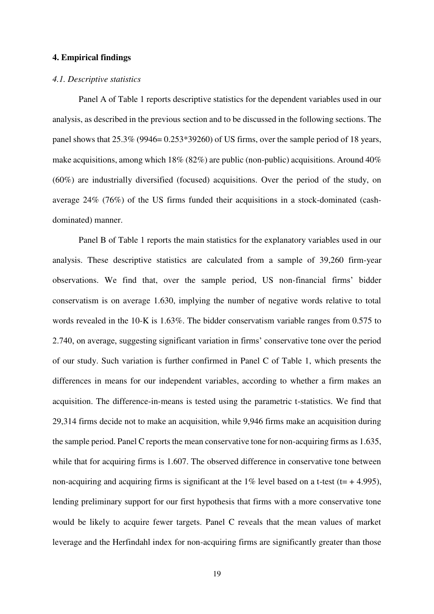#### **4. Empirical findings**

#### *4.1. Descriptive statistics*

Panel A of Table 1 reports descriptive statistics for the dependent variables used in our analysis, as described in the previous section and to be discussed in the following sections. The panel shows that 25.3% (9946= 0.253\*39260) of US firms, over the sample period of 18 years, make acquisitions, among which 18% (82%) are public (non-public) acquisitions. Around 40% (60%) are industrially diversified (focused) acquisitions. Over the period of the study, on average 24% (76%) of the US firms funded their acquisitions in a stock-dominated (cashdominated) manner.

Panel B of Table 1 reports the main statistics for the explanatory variables used in our analysis. These descriptive statistics are calculated from a sample of 39,260 firm-year observations. We find that, over the sample period, US non-financial firms' bidder conservatism is on average 1.630, implying the number of negative words relative to total words revealed in the 10-K is 1.63%. The bidder conservatism variable ranges from 0.575 to 2.740, on average, suggesting significant variation in firms' conservative tone over the period of our study. Such variation is further confirmed in Panel C of Table 1, which presents the differences in means for our independent variables, according to whether a firm makes an acquisition. The difference-in-means is tested using the parametric t-statistics. We find that 29,314 firms decide not to make an acquisition, while 9,946 firms make an acquisition during the sample period. Panel C reports the mean conservative tone for non-acquiring firms as 1.635, while that for acquiring firms is 1.607. The observed difference in conservative tone between non-acquiring and acquiring firms is significant at the  $1\%$  level based on a t-test (t= + 4.995), lending preliminary support for our first hypothesis that firms with a more conservative tone would be likely to acquire fewer targets. Panel C reveals that the mean values of market leverage and the Herfindahl index for non-acquiring firms are significantly greater than those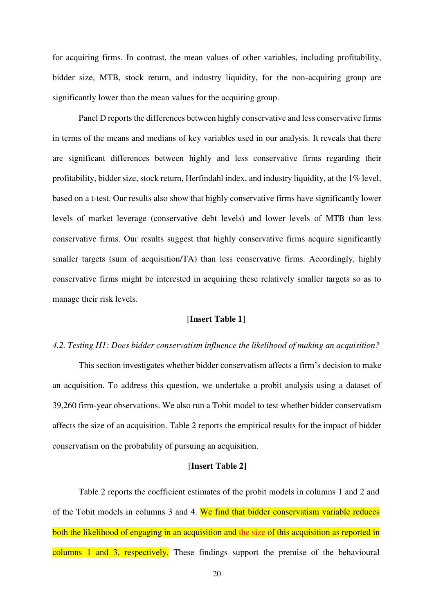for acquiring firms. In contrast, the mean values of other variables, including profitability, bidder size, MTB, stock return, and industry liquidity, for the non-acquiring group are significantly lower than the mean values for the acquiring group.

Panel D reports the differences between highly conservative and less conservative firms in terms of the means and medians of key variables used in our analysis. It reveals that there are significant differences between highly and less conservative firms regarding their profitability, bidder size, stock return, Herfindahl index, and industry liquidity, at the 1% level, based on a t-test. Our results also show that highly conservative firms have significantly lower levels of market leverage (conservative debt levels) and lower levels of MTB than less conservative firms. Our results suggest that highly conservative firms acquire significantly smaller targets (sum of acquisition/TA) than less conservative firms. Accordingly, highly conservative firms might be interested in acquiring these relatively smaller targets so as to manage their risk levels.

# [**Insert Table 1]**

## *4.2. Testing H1: Does bidder conservatism influence the likelihood of making an acquisition?*

This section investigates whether bidder conservatism affects a firm's decision to make an acquisition. To address this question, we undertake a probit analysis using a dataset of 39,260 firm-year observations. We also run a Tobit model to test whether bidder conservatism affects the size of an acquisition. Table 2 reports the empirical results for the impact of bidder conservatism on the probability of pursuing an acquisition.

## [**Insert Table 2]**

Table 2 reports the coefficient estimates of the probit models in columns 1 and 2 and of the Tobit models in columns 3 and 4. We find that bidder conservatism variable reduces both the likelihood of engaging in an acquisition and the size of this acquisition as reported in columns 1 and 3, respectively. These findings support the premise of the behavioural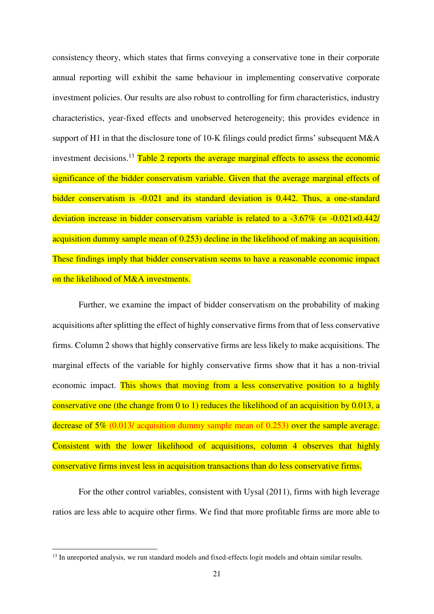consistency theory, which states that firms conveying a conservative tone in their corporate annual reporting will exhibit the same behaviour in implementing conservative corporate investment policies. Our results are also robust to controlling for firm characteristics, industry characteristics, year-fixed effects and unobserved heterogeneity; this provides evidence in support of H1 in that the disclosure tone of 10-K filings could predict firms' subsequent M&A investment decisions.<sup>13</sup> Table 2 reports the average marginal effects to assess the economic significance of the bidder conservatism variable. Given that the average marginal effects of bidder conservatism is -0.021 and its standard deviation is 0.442. Thus, a one-standard deviation increase in bidder conservatism variable is related to a  $-3.67\%$  (=  $-0.021\times0.442$ / acquisition dummy sample mean of 0.253) decline in the likelihood of making an acquisition. These findings imply that bidder conservatism seems to have a reasonable economic impact on the likelihood of M&A investments.

Further, we examine the impact of bidder conservatism on the probability of making acquisitions after splitting the effect of highly conservative firms from that of less conservative firms. Column 2 shows that highly conservative firms are less likely to make acquisitions. The marginal effects of the variable for highly conservative firms show that it has a non-trivial economic impact. This shows that moving from a less conservative position to a highly conservative one (the change from 0 to 1) reduces the likelihood of an acquisition by 0.013, a decrease of 5% (0.013/ acquisition dummy sample mean of 0.253) over the sample average. Consistent with the lower likelihood of acquisitions, column 4 observes that highly conservative firms invest less in acquisition transactions than do less conservative firms.

For the other control variables, consistent with Uysal (2011), firms with high leverage ratios are less able to acquire other firms. We find that more profitable firms are more able to

<u>.</u>

<sup>&</sup>lt;sup>13</sup> In unreported analysis, we run standard models and fixed-effects logit models and obtain similar results.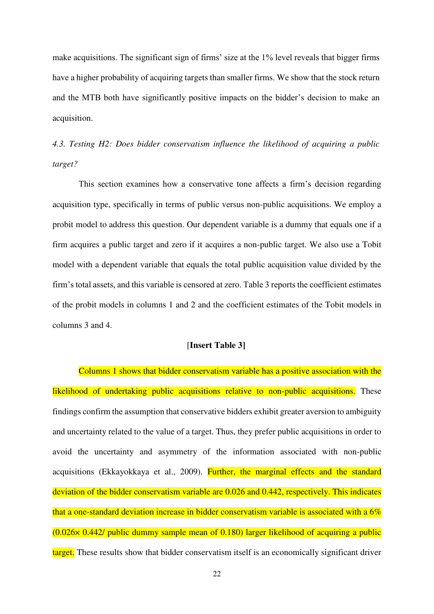make acquisitions. The significant sign of firms' size at the 1% level reveals that bigger firms have a higher probability of acquiring targets than smaller firms. We show that the stock return and the MTB both have significantly positive impacts on the bidder's decision to make an acquisition.

*4.3. Testing H2: Does bidder conservatism influence the likelihood of acquiring a public target?* 

This section examines how a conservative tone affects a firm's decision regarding acquisition type, specifically in terms of public versus non-public acquisitions. We employ a probit model to address this question. Our dependent variable is a dummy that equals one if a firm acquires a public target and zero if it acquires a non-public target. We also use a Tobit model with a dependent variable that equals the total public acquisition value divided by the firm's total assets, and this variable is censored at zero. Table 3 reports the coefficient estimates of the probit models in columns 1 and 2 and the coefficient estimates of the Tobit models in columns 3 and 4.

## [**Insert Table 3]**

Columns 1 shows that bidder conservatism variable has a positive association with the likelihood of undertaking public acquisitions relative to non-public acquisitions. These findings confirm the assumption that conservative bidders exhibit greater aversion to ambiguity and uncertainty related to the value of a target. Thus, they prefer public acquisitions in order to avoid the uncertainty and asymmetry of the information associated with non-public acquisitions (Ekkayokkaya et al., 2009). Further, the marginal effects and the standard deviation of the bidder conservatism variable are 0.026 and 0.442, respectively. This indicates that a one-standard deviation increase in bidder conservatism variable is associated with a  $6\%$ (0.026× 0.442/ public dummy sample mean of 0.180) larger likelihood of acquiring a public target. These results show that bidder conservatism itself is an economically significant driver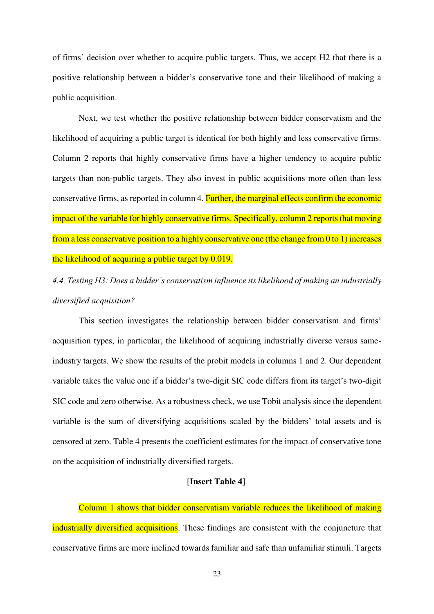of firms' decision over whether to acquire public targets. Thus, we accept H2 that there is a positive relationship between a bidder's conservative tone and their likelihood of making a public acquisition.

Next, we test whether the positive relationship between bidder conservatism and the likelihood of acquiring a public target is identical for both highly and less conservative firms. Column 2 reports that highly conservative firms have a higher tendency to acquire public targets than non-public targets. They also invest in public acquisitions more often than less conservative firms, as reported in column 4. Further, the marginal effects confirm the economic impact of the variable for highly conservative firms. Specifically, column 2 reports that moving from a less conservative position to a highly conservative one (the change from 0 to 1) increases the likelihood of acquiring a public target by 0.019.

*4.4. Testing H3: Does a bidder's conservatism influence its likelihood of making an industrially diversified acquisition?* 

This section investigates the relationship between bidder conservatism and firms' acquisition types, in particular, the likelihood of acquiring industrially diverse versus sameindustry targets. We show the results of the probit models in columns 1 and 2. Our dependent variable takes the value one if a bidder's two-digit SIC code differs from its target's two-digit SIC code and zero otherwise. As a robustness check, we use Tobit analysis since the dependent variable is the sum of diversifying acquisitions scaled by the bidders' total assets and is censored at zero. Table 4 presents the coefficient estimates for the impact of conservative tone on the acquisition of industrially diversified targets.

# [**Insert Table 4]**

Column 1 shows that bidder conservatism variable reduces the likelihood of making industrially diversified acquisitions. These findings are consistent with the conjuncture that conservative firms are more inclined towards familiar and safe than unfamiliar stimuli. Targets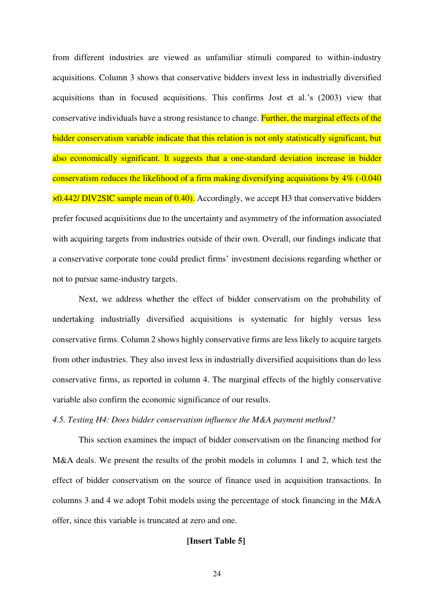from different industries are viewed as unfamiliar stimuli compared to within-industry acquisitions. Column 3 shows that conservative bidders invest less in industrially diversified acquisitions than in focused acquisitions. This confirms Jost et al.'s (2003) view that conservative individuals have a strong resistance to change. Further, the marginal effects of the bidder conservatism variable indicate that this relation is not only statistically significant, but also economically significant. It suggests that a one-standard deviation increase in bidder conservatism reduces the likelihood of a firm making diversifying acquisitions by 4% (-0.040 ×0.442/ DIV2SIC sample mean of 0.40). Accordingly, we accept H3 that conservative bidders prefer focused acquisitions due to the uncertainty and asymmetry of the information associated with acquiring targets from industries outside of their own. Overall, our findings indicate that a conservative corporate tone could predict firms' investment decisions regarding whether or not to pursue same-industry targets.

Next, we address whether the effect of bidder conservatism on the probability of undertaking industrially diversified acquisitions is systematic for highly versus less conservative firms. Column 2 shows highly conservative firms are less likely to acquire targets from other industries. They also invest less in industrially diversified acquisitions than do less conservative firms, as reported in column 4. The marginal effects of the highly conservative variable also confirm the economic significance of our results.

# *4.5. Testing H4: Does bidder conservatism influence the M&A payment method?*

This section examines the impact of bidder conservatism on the financing method for M&A deals. We present the results of the probit models in columns 1 and 2, which test the effect of bidder conservatism on the source of finance used in acquisition transactions. In columns 3 and 4 we adopt Tobit models using the percentage of stock financing in the M&A offer, since this variable is truncated at zero and one.

# **[Insert Table 5]**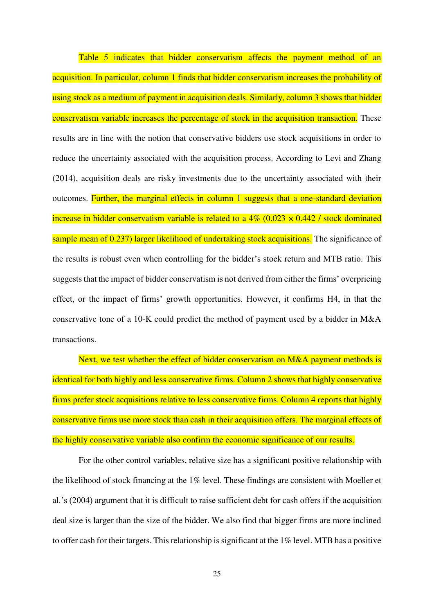Table 5 indicates that bidder conservatism affects the payment method of an acquisition. In particular, column 1 finds that bidder conservatism increases the probability of using stock as a medium of payment in acquisition deals. Similarly, column 3 shows that bidder conservatism variable increases the percentage of stock in the acquisition transaction. These results are in line with the notion that conservative bidders use stock acquisitions in order to reduce the uncertainty associated with the acquisition process. According to Levi and Zhang (2014), acquisition deals are risky investments due to the uncertainty associated with their outcomes. Further, the marginal effects in column 1 suggests that a one-standard deviation increase in bidder conservatism variable is related to a  $4\%$  (0.023  $\times$  0.442 / stock dominated sample mean of 0.237) larger likelihood of undertaking stock acquisitions. The significance of the results is robust even when controlling for the bidder's stock return and MTB ratio. This suggests that the impact of bidder conservatism is not derived from either the firms' overpricing effect, or the impact of firms' growth opportunities. However, it confirms H4, in that the conservative tone of a 10-K could predict the method of payment used by a bidder in M&A transactions.

Next, we test whether the effect of bidder conservatism on M&A payment methods is identical for both highly and less conservative firms. Column 2 shows that highly conservative firms prefer stock acquisitions relative to less conservative firms. Column 4 reports that highly conservative firms use more stock than cash in their acquisition offers. The marginal effects of the highly conservative variable also confirm the economic significance of our results.

For the other control variables, relative size has a significant positive relationship with the likelihood of stock financing at the 1% level. These findings are consistent with Moeller et al.'s (2004) argument that it is difficult to raise sufficient debt for cash offers if the acquisition deal size is larger than the size of the bidder. We also find that bigger firms are more inclined to offer cash for their targets. This relationship is significant at the 1% level. MTB has a positive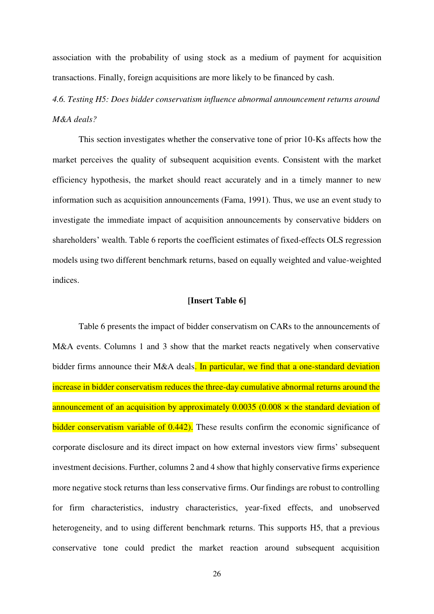association with the probability of using stock as a medium of payment for acquisition transactions. Finally, foreign acquisitions are more likely to be financed by cash.

*4.6. Testing H5: Does bidder conservatism influence abnormal announcement returns around M&A deals?* 

This section investigates whether the conservative tone of prior 10-Ks affects how the market perceives the quality of subsequent acquisition events. Consistent with the market efficiency hypothesis, the market should react accurately and in a timely manner to new information such as acquisition announcements (Fama, 1991). Thus, we use an event study to investigate the immediate impact of acquisition announcements by conservative bidders on shareholders' wealth. Table 6 reports the coefficient estimates of fixed-effects OLS regression models using two different benchmark returns, based on equally weighted and value-weighted indices.

# **[Insert Table 6]**

Table 6 presents the impact of bidder conservatism on CARs to the announcements of M&A events. Columns 1 and 3 show that the market reacts negatively when conservative bidder firms announce their M&A deals. In particular, we find that a one-standard deviation increase in bidder conservatism reduces the three-day cumulative abnormal returns around the announcement of an acquisition by approximately  $0.0035$  (0.008  $\times$  the standard deviation of bidder conservatism variable of 0.442). These results confirm the economic significance of corporate disclosure and its direct impact on how external investors view firms' subsequent investment decisions. Further, columns 2 and 4 show that highly conservative firms experience more negative stock returns than less conservative firms. Our findings are robust to controlling for firm characteristics, industry characteristics, year-fixed effects, and unobserved heterogeneity, and to using different benchmark returns. This supports H5, that a previous conservative tone could predict the market reaction around subsequent acquisition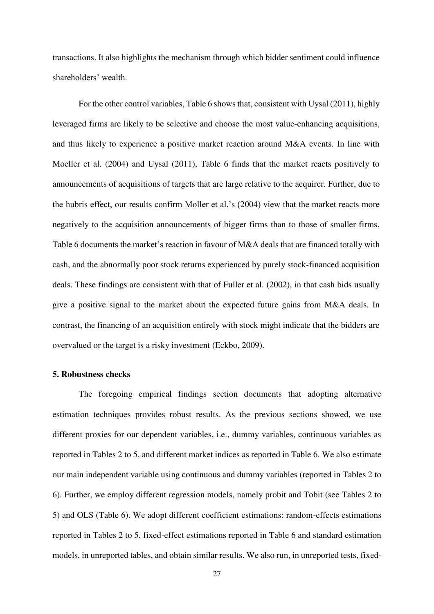transactions. It also highlights the mechanism through which bidder sentiment could influence shareholders' wealth.

For the other control variables, Table 6 shows that, consistent with Uysal (2011), highly leveraged firms are likely to be selective and choose the most value-enhancing acquisitions, and thus likely to experience a positive market reaction around M&A events. In line with Moeller et al. (2004) and Uysal (2011), Table 6 finds that the market reacts positively to announcements of acquisitions of targets that are large relative to the acquirer. Further, due to the hubris effect, our results confirm Moller et al.'s (2004) view that the market reacts more negatively to the acquisition announcements of bigger firms than to those of smaller firms. Table 6 documents the market's reaction in favour of M&A deals that are financed totally with cash, and the abnormally poor stock returns experienced by purely stock-financed acquisition deals. These findings are consistent with that of Fuller et al. (2002), in that cash bids usually give a positive signal to the market about the expected future gains from M&A deals. In contrast, the financing of an acquisition entirely with stock might indicate that the bidders are overvalued or the target is a risky investment (Eckbo, 2009).

#### **5. Robustness checks**

The foregoing empirical findings section documents that adopting alternative estimation techniques provides robust results. As the previous sections showed, we use different proxies for our dependent variables, i.e., dummy variables, continuous variables as reported in Tables 2 to 5, and different market indices as reported in Table 6. We also estimate our main independent variable using continuous and dummy variables (reported in Tables 2 to 6). Further, we employ different regression models, namely probit and Tobit (see Tables 2 to 5) and OLS (Table 6). We adopt different coefficient estimations: random-effects estimations reported in Tables 2 to 5, fixed-effect estimations reported in Table 6 and standard estimation models, in unreported tables, and obtain similar results. We also run, in unreported tests, fixed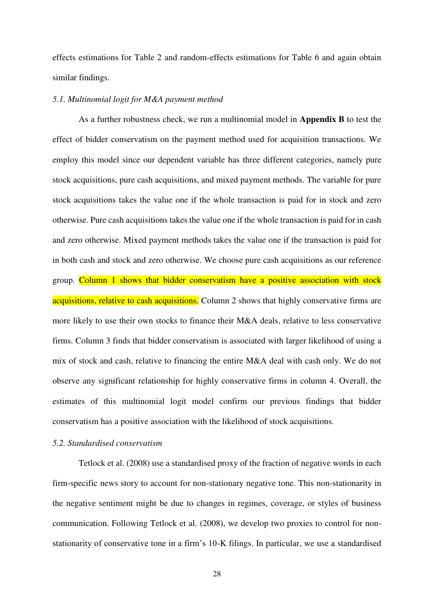effects estimations for Table 2 and random-effects estimations for Table 6 and again obtain similar findings.

# *5.1. Multinomial logit for M&A payment method*

As a further robustness check, we run a multinomial model in **Appendix B** to test the effect of bidder conservatism on the payment method used for acquisition transactions. We employ this model since our dependent variable has three different categories, namely pure stock acquisitions, pure cash acquisitions, and mixed payment methods. The variable for pure stock acquisitions takes the value one if the whole transaction is paid for in stock and zero otherwise. Pure cash acquisitions takes the value one if the whole transaction is paid for in cash and zero otherwise. Mixed payment methods takes the value one if the transaction is paid for in both cash and stock and zero otherwise. We choose pure cash acquisitions as our reference group. Column 1 shows that bidder conservatism have a positive association with stock acquisitions, relative to cash acquisitions. Column 2 shows that highly conservative firms are more likely to use their own stocks to finance their M&A deals, relative to less conservative firms. Column 3 finds that bidder conservatism is associated with larger likelihood of using a mix of stock and cash, relative to financing the entire M&A deal with cash only. We do not observe any significant relationship for highly conservative firms in column 4. Overall, the estimates of this multinomial logit model confirm our previous findings that bidder conservatism has a positive association with the likelihood of stock acquisitions.

# *5.2. Standardised conservatism*

Tetlock et al. (2008) use a standardised proxy of the fraction of negative words in each firm-specific news story to account for non-stationary negative tone. This non-stationarity in the negative sentiment might be due to changes in regimes, coverage, or styles of business communication. Following Tetlock et al. (2008), we develop two proxies to control for nonstationarity of conservative tone in a firm's 10-K filings. In particular, we use a standardised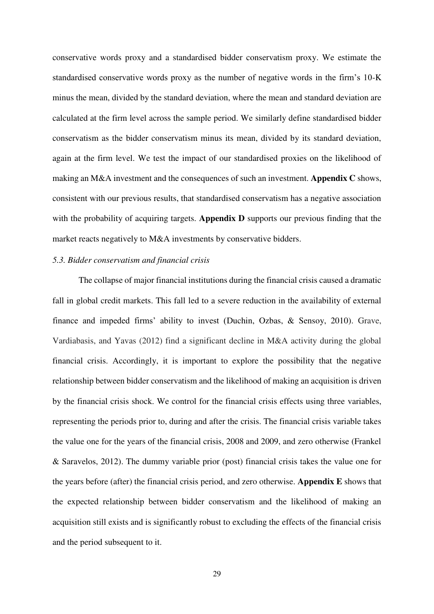conservative words proxy and a standardised bidder conservatism proxy. We estimate the standardised conservative words proxy as the number of negative words in the firm's 10-K minus the mean, divided by the standard deviation, where the mean and standard deviation are calculated at the firm level across the sample period. We similarly define standardised bidder conservatism as the bidder conservatism minus its mean, divided by its standard deviation, again at the firm level. We test the impact of our standardised proxies on the likelihood of making an M&A investment and the consequences of such an investment. **Appendix C** shows, consistent with our previous results, that standardised conservatism has a negative association with the probability of acquiring targets. **Appendix D** supports our previous finding that the market reacts negatively to M&A investments by conservative bidders.

## *5.3. Bidder conservatism and financial crisis*

The collapse of major financial institutions during the financial crisis caused a dramatic fall in global credit markets. This fall led to a severe reduction in the availability of external finance and impeded firms' ability to invest (Duchin, Ozbas, & Sensoy, 2010). Grave, Vardiabasis, and Yavas (2012) find a significant decline in M&A activity during the global financial crisis. Accordingly, it is important to explore the possibility that the negative relationship between bidder conservatism and the likelihood of making an acquisition is driven by the financial crisis shock. We control for the financial crisis effects using three variables, representing the periods prior to, during and after the crisis. The financial crisis variable takes the value one for the years of the financial crisis, 2008 and 2009, and zero otherwise (Frankel & Saravelos, 2012). The dummy variable prior (post) financial crisis takes the value one for the years before (after) the financial crisis period, and zero otherwise. **Appendix E** shows that the expected relationship between bidder conservatism and the likelihood of making an acquisition still exists and is significantly robust to excluding the effects of the financial crisis and the period subsequent to it.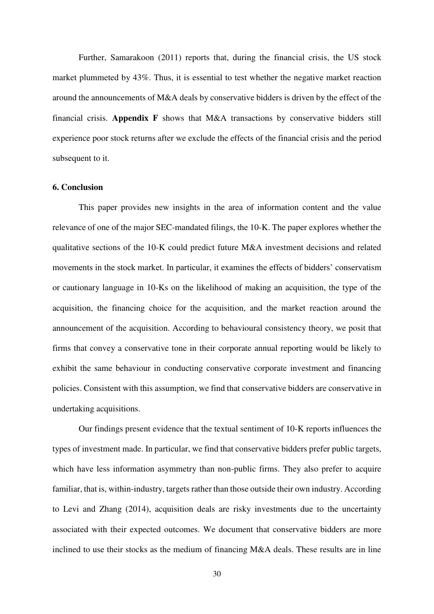Further, [Samarakoon](http://www.sciencedirect.com/science/article/pii/S1042443111000242) (2011) reports that, during the financial crisis, the US stock market plummeted by 43%. Thus, it is essential to test whether the negative market reaction around the announcements of M&A deals by conservative bidders is driven by the effect of the financial crisis. **Appendix F** shows that M&A transactions by conservative bidders still experience poor stock returns after we exclude the effects of the financial crisis and the period subsequent to it.

# **6. Conclusion**

This paper provides new insights in the area of information content and the value relevance of one of the major SEC-mandated filings, the 10-K. The paper explores whether the qualitative sections of the 10-K could predict future M&A investment decisions and related movements in the stock market. In particular, it examines the effects of bidders' conservatism or cautionary language in 10-Ks on the likelihood of making an acquisition, the type of the acquisition, the financing choice for the acquisition, and the market reaction around the announcement of the acquisition. According to behavioural consistency theory, we posit that firms that convey a conservative tone in their corporate annual reporting would be likely to exhibit the same behaviour in conducting conservative corporate investment and financing policies. Consistent with this assumption, we find that conservative bidders are conservative in undertaking acquisitions.

Our findings present evidence that the textual sentiment of 10-K reports influences the types of investment made. In particular, we find that conservative bidders prefer public targets, which have less information asymmetry than non-public firms. They also prefer to acquire familiar, that is, within-industry, targets rather than those outside their own industry. According to Levi and Zhang (2014), acquisition deals are risky investments due to the uncertainty associated with their expected outcomes. We document that conservative bidders are more inclined to use their stocks as the medium of financing M&A deals. These results are in line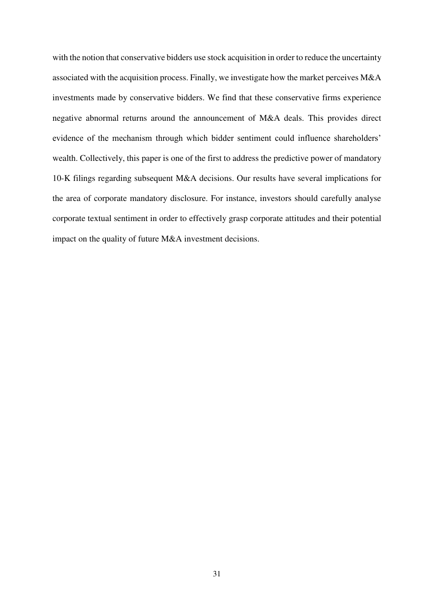with the notion that conservative bidders use stock acquisition in order to reduce the uncertainty associated with the acquisition process. Finally, we investigate how the market perceives M&A investments made by conservative bidders. We find that these conservative firms experience negative abnormal returns around the announcement of M&A deals. This provides direct evidence of the mechanism through which bidder sentiment could influence shareholders' wealth. Collectively, this paper is one of the first to address the predictive power of mandatory 10-K filings regarding subsequent M&A decisions. Our results have several implications for the area of corporate mandatory disclosure. For instance, investors should carefully analyse corporate textual sentiment in order to effectively grasp corporate attitudes and their potential impact on the quality of future M&A investment decisions.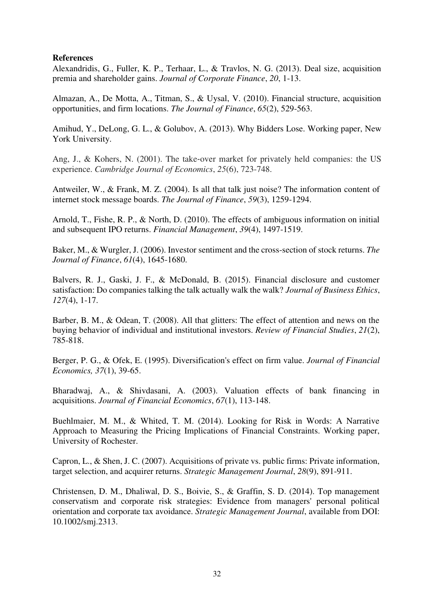# **References**

Alexandridis, G., Fuller, K. P., Terhaar, L., & Travlos, N. G. (2013). Deal size, acquisition premia and shareholder gains. *Journal of Corporate Finance*, *20*, 1-13.

Almazan, A., De Motta, A., Titman, S., & Uysal, V. (2010). Financial structure, acquisition opportunities, and firm locations. *The Journal of Finance*, *65*(2), 529-563.

Amihud, Y., DeLong, G. L., & Golubov, A. (2013). Why Bidders Lose. Working paper, New York University.

Ang, J., & Kohers, N. (2001). The take‐over market for privately held companies: the US experience. *Cambridge Journal of Economics*, *25*(6), 723-748.

Antweiler, W., & Frank, M. Z. (2004). Is all that talk just noise? The information content of internet stock message boards. *The Journal of Finance*, *59*(3), 1259-1294.

Arnold, T., Fishe, R. P., & North, D. (2010). The effects of ambiguous information on initial and subsequent IPO returns. *Financial Management*, *39*(4), 1497-1519.

Baker, M., & Wurgler, J. (2006). Investor sentiment and the cross-section of stock returns. *The Journal of Finance*, *61*(4), 1645-1680.

Balvers, R. J., Gaski, J. F., & McDonald, B. (2015). Financial disclosure and customer satisfaction: Do companies talking the talk actually walk the walk? *Journal of Business Ethics*, *127*(4), 1-17.

Barber, B. M., & Odean, T. (2008). All that glitters: The effect of attention and news on the buying behavior of individual and institutional investors. *Review of Financial Studies*, *21*(2), 785-818.

Berger, P. G., & Ofek, E. (1995). Diversification's effect on firm value. *Journal of Financial Economics, 37*(1), 39-65.

Bharadwaj, A., & Shivdasani, A. (2003). Valuation effects of bank financing in acquisitions. *Journal of Financial Economics*, *67*(1), 113-148.

Buehlmaier, M. M., & Whited, T. M. (2014). Looking for Risk in Words: A Narrative Approach to Measuring the Pricing Implications of Financial Constraints. Working paper, University of Rochester.

Capron, L., & Shen, J. C. (2007). Acquisitions of private vs. public firms: Private information, target selection, and acquirer returns. *Strategic Management Journal*, *28*(9), 891-911.

Christensen, D. M., Dhaliwal, D. S., Boivie, S., & Graffin, S. D. (2014). Top management conservatism and corporate risk strategies: Evidence from managers' personal political orientation and corporate tax avoidance. *Strategic Management Journal*, available from DOI: 10.1002/smj.2313.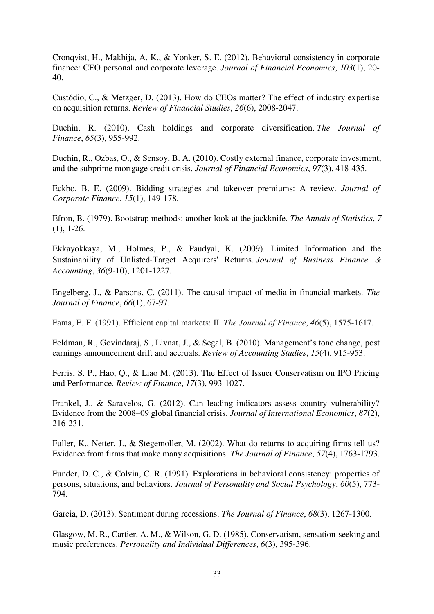Cronqvist, H., Makhija, A. K., & Yonker, S. E. (2012). Behavioral consistency in corporate finance: CEO personal and corporate leverage. *Journal of Financial Economics*, *103*(1), 20- 40.

Custódio, C., & Metzger, D. (2013). How do CEOs matter? The effect of industry expertise on acquisition returns. *Review of Financial Studies*, *26*(6), 2008-2047.

Duchin, R. (2010). Cash holdings and corporate diversification. *The Journal of Finance*, *65*(3), 955-992.

Duchin, R., Ozbas, O., & Sensoy, B. A. (2010). Costly external finance, corporate investment, and the subprime mortgage credit crisis. *Journal of Financial Economics*, *97*(3), 418-435.

Eckbo, B. E. (2009). Bidding strategies and takeover premiums: A review. *Journal of Corporate Finance*, *15*(1), 149-178.

Efron, B. (1979). Bootstrap methods: another look at the jackknife. *The Annals of Statistics*, *7* (1), 1-26.

Ekkayokkaya, M., Holmes, P., & Paudyal, K. (2009). Limited Information and the Sustainability of Unlisted‐Target Acquirers' Returns. *Journal of Business Finance & Accounting*, *36*(9‐10), 1201-1227.

Engelberg, J., & Parsons, C. (2011). The causal impact of media in financial markets. *The Journal of Finance*, *66*(1), 67-97.

Fama, E. F. (1991). Efficient capital markets: II. *The Journal of Finance*, *46*(5), 1575-1617.

Feldman, R., Govindaraj, S., Livnat, J., & Segal, B. (2010). Management's tone change, post earnings announcement drift and accruals. *Review of Accounting Studies*, *15*(4), 915-953.

Ferris, S. P., Hao, Q., & Liao M. (2013). The Effect of Issuer Conservatism on IPO Pricing and Performance. *Review of Finance*, *17*(3), 993-1027.

Frankel, J., & Saravelos, G. (2012). Can leading indicators assess country vulnerability? Evidence from the 2008–09 global financial crisis. *Journal of International Economics*, *87*(2), 216-231.

Fuller, K., Netter, J., & Stegemoller, M. (2002). What do returns to acquiring firms tell us? Evidence from firms that make many acquisitions. *The Journal of Finance*, *57*(4), 1763-1793.

Funder, D. C., & Colvin, C. R. (1991). Explorations in behavioral consistency: properties of persons, situations, and behaviors. *Journal of Personality and Social Psychology*, *60*(5), 773- 794.

Garcia, D. (2013). Sentiment during recessions. *The Journal of Finance*, *68*(3), 1267-1300.

Glasgow, M. R., Cartier, A. M., & Wilson, G. D. (1985). Conservatism, sensation-seeking and music preferences. *Personality and Individual Differences*, *6*(3), 395-396.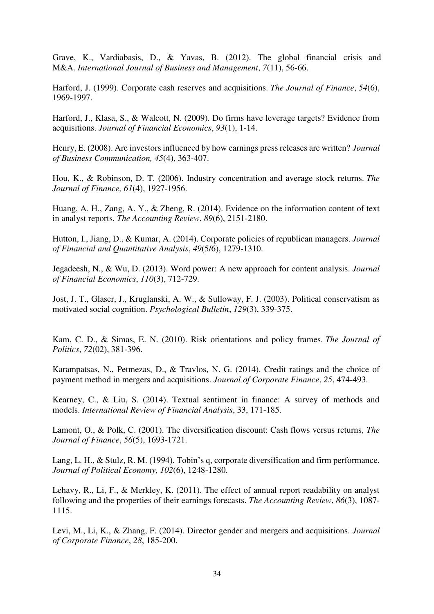Grave, K., Vardiabasis, D., & Yavas, B. (2012). The global financial crisis and M&A. *International Journal of Business and Management*, *7*(11), 56-66.

Harford, J. (1999). Corporate cash reserves and acquisitions. *The Journal of Finance*, *54*(6), 1969-1997.

Harford, J., Klasa, S., & Walcott, N. (2009). Do firms have leverage targets? Evidence from acquisitions. *Journal of Financial Economics*, *93*(1), 1-14.

Henry, E. (2008). Are investors influenced by how earnings press releases are written? *Journal of Business Communication, 45*(4), 363-407.

Hou, K., & Robinson, D. T. (2006). Industry concentration and average stock returns. *The Journal of Finance, 61*(4), 1927-1956.

Huang, A. H., Zang, A. Y., & Zheng, R. (2014). Evidence on the information content of text in analyst reports. *The Accounting Review*, *89*(6), 2151-2180.

Hutton, I., Jiang, D., & Kumar, A. (2014). Corporate policies of republican managers. *Journal of Financial and Quantitative Analysis*, *49*(5/6), 1279-1310.

Jegadeesh, N., & Wu, D. (2013). Word power: A new approach for content analysis. *Journal of Financial Economics*, *110*(3), 712-729.

Jost, J. T., Glaser, J., Kruglanski, A. W., & Sulloway, F. J. (2003). Political conservatism as motivated social cognition. *Psychological Bulletin*, *129*(3), 339-375.

Kam, C. D., & Simas, E. N. (2010). Risk orientations and policy frames. *The Journal of Politics*, *72*(02), 381-396.

Karampatsas, N., Petmezas, D., & Travlos, N. G. (2014). Credit ratings and the choice of payment method in mergers and acquisitions. *Journal of Corporate Finance*, *25*, 474-493.

Kearney, C., & Liu, S. (2014). Textual sentiment in finance: A survey of methods and models. *International Review of Financial Analysis*, 33, 171-185.

Lamont, O., & Polk, C. (2001). The diversification discount: Cash flows versus returns, *The Journal of Finance*, *56*(5), 1693-1721.

Lang, L. H., & Stulz, R. M. (1994). Tobin's q, corporate diversification and firm performance. *Journal of Political Economy, 102*(6), 1248-1280.

Lehavy, R., Li, F., & Merkley, K. (2011). The effect of annual report readability on analyst following and the properties of their earnings forecasts. *The Accounting Review*, *86*(3), 1087- 1115.

Levi, M., Li, K., & Zhang, F. (2014). Director gender and mergers and acquisitions. *Journal of Corporate Finance*, *28*, 185-200.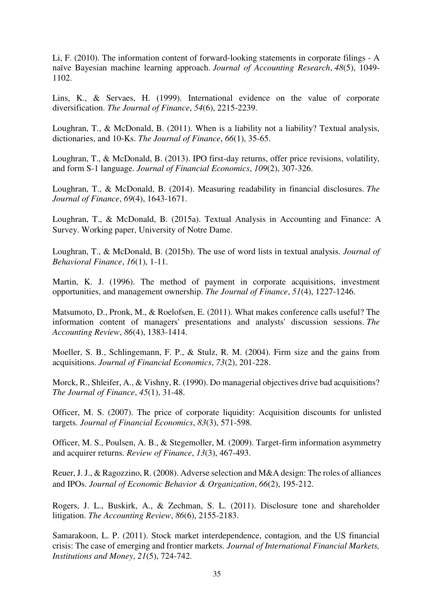Li, F. (2010). The information content of forward‐looking statements in corporate filings - A naïve Bayesian machine learning approach. *Journal of Accounting Research*, *48*(5), 1049- 1102.

Lins, K., & Servaes, H. (1999). International evidence on the value of corporate diversification. *The Journal of Finance*, *54*(6), 2215-2239.

Loughran, T., & McDonald, B. (2011). When is a liability not a liability? Textual analysis, dictionaries, and 10‐Ks. *The Journal of Finance*, *66*(1), 35-65.

Loughran, T., & McDonald, B. (2013). IPO first-day returns, offer price revisions, volatility, and form S-1 language. *Journal of Financial Economics*, *109*(2), 307-326.

Loughran, T., & McDonald, B. (2014). Measuring readability in financial disclosures. *The Journal of Finance*, *69*(4), 1643-1671.

Loughran, T., & McDonald, B. (2015a). Textual Analysis in Accounting and Finance: A Survey. Working paper, [University of Notre Dame.](http://www3.nd.edu/~mcdonald/Word_Lists.html)

Loughran, T., & McDonald, B. (2015b). The use of word lists in textual analysis. *Journal of Behavioral Finance*, *16*(1), 1-11.

Martin, K. J. (1996). The method of payment in corporate acquisitions, investment opportunities, and management ownership. *The Journal of Finance*, *51*(4), 1227-1246.

Matsumoto, D., Pronk, M., & Roelofsen, E. (2011). What makes conference calls useful? The information content of managers' presentations and analysts' discussion sessions. *The Accounting Review*, *86*(4), 1383-1414.

Moeller, S. B., Schlingemann, F. P., & Stulz, R. M. (2004). Firm size and the gains from acquisitions. *Journal of Financial Economics*, *73*(2), 201-228.

Morck, R., Shleifer, A., & Vishny, R. (1990). Do managerial objectives drive bad acquisitions? *The Journal of Finance*, *45*(1), 31-48.

Officer, M. S. (2007). The price of corporate liquidity: Acquisition discounts for unlisted targets. *Journal of Financial Economics*, *83*(3), 571-598.

Officer, M. S., Poulsen, A. B., & Stegemoller, M. (2009). Target-firm information asymmetry and acquirer returns. *Review of Finance*, *13*(3), 467-493.

Reuer, J. J., & Ragozzino, R. (2008). Adverse selection and M&A design: The roles of alliances and IPOs. *Journal of Economic Behavior & Organization*, *66*(2), 195-212.

Rogers, J. L., Buskirk, A., & Zechman, S. L. (2011). Disclosure tone and shareholder litigation. *The Accounting Review*, *86*(6), 2155-2183.

Samarakoon, L. P. (2011). Stock market interdependence, contagion, and the US financial crisis: The case of emerging and frontier markets. *Journal of International Financial Markets, Institutions and Money*, *21*(5), 724-742.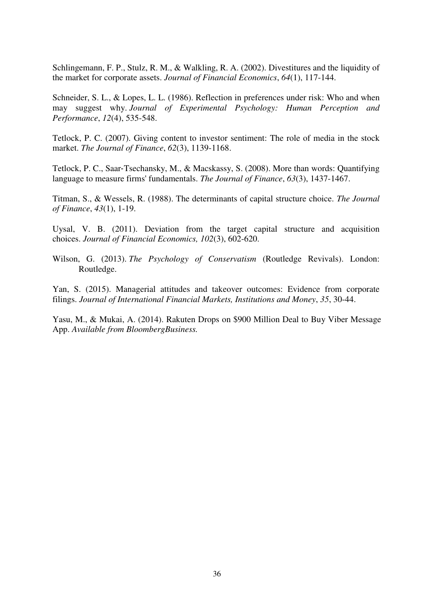Schlingemann, F. P., Stulz, R. M., & Walkling, R. A. (2002). Divestitures and the liquidity of the market for corporate assets. *Journal of Financial Economics*, *64*(1), 117-144.

Schneider, S. L., & Lopes, L. L. (1986). Reflection in preferences under risk: Who and when may suggest why. *Journal of Experimental Psychology: Human Perception and Performance*, *12*(4), 535-548.

Tetlock, P. C. (2007). Giving content to investor sentiment: The role of media in the stock market. *The Journal of Finance*, *62*(3), 1139-1168.

Tetlock, P. C., Saar‐Tsechansky, M., & Macskassy, S. (2008). More than words: Quantifying language to measure firms' fundamentals. *The Journal of Finance*, *63*(3), 1437-1467.

Titman, S., & Wessels, R. (1988). The determinants of capital structure choice. *The Journal of Finance*, *43*(1), 1-19.

Uysal, V. B. (2011). Deviation from the target capital structure and acquisition choices. *Journal of Financial Economics, 102*(3), 602-620.

Wilson, G. (2013). *The Psychology of Conservatism* (Routledge Revivals). London: Routledge.

Yan, S. (2015). Managerial attitudes and takeover outcomes: Evidence from corporate filings. *Journal of International Financial Markets, Institutions and Money*, *35*, 30-44.

Yasu, M., & Mukai, A. (2014). Rakuten Drops on \$900 Million Deal to Buy Viber Message App. *Available from BloombergBusiness.*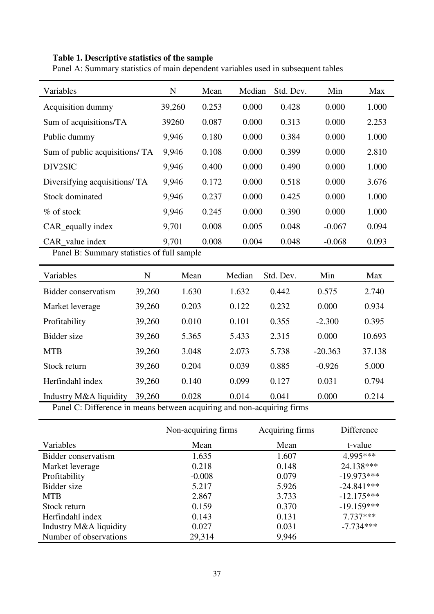# **Table 1. Descriptive statistics of the sample**

Panel A: Summary statistics of main dependent variables used in subsequent tables

| Variables                                  | N      | Mean  | Median | Std. Dev. | Min      | Max   |
|--------------------------------------------|--------|-------|--------|-----------|----------|-------|
| Acquisition dummy                          | 39,260 | 0.253 | 0.000  | 0.428     | 0.000    | 1.000 |
| Sum of acquisitions/TA                     | 39260  | 0.087 | 0.000  | 0.313     | 0.000    | 2.253 |
| Public dummy                               | 9,946  | 0.180 | 0.000  | 0.384     | 0.000    | 1.000 |
| Sum of public acquisitions/ TA             | 9,946  | 0.108 | 0.000  | 0.399     | 0.000    | 2.810 |
| DIV2SIC                                    | 9,946  | 0.400 | 0.000  | 0.490     | 0.000    | 1.000 |
| Diversifying acquisitions/ TA              | 9,946  | 0.172 | 0.000  | 0.518     | 0.000    | 3.676 |
| Stock dominated                            | 9,946  | 0.237 | 0.000  | 0.425     | 0.000    | 1.000 |
| $\%$ of stock                              | 9,946  | 0.245 | 0.000  | 0.390     | 0.000    | 1.000 |
| CAR equally index                          | 9,701  | 0.008 | 0.005  | 0.048     | $-0.067$ | 0.094 |
| CAR_value index                            | 9,701  | 0.008 | 0.004  | 0.048     | $-0.068$ | 0.093 |
| Panel B: Summary statistics of full sample |        |       |        |           |          |       |

| Variables              | N      | Mean  | Median | Std. Dev. | Min       | Max    |
|------------------------|--------|-------|--------|-----------|-----------|--------|
| Bidder conservatism    | 39,260 | 1.630 | 1.632  | 0.442     | 0.575     | 2.740  |
| Market leverage        | 39,260 | 0.203 | 0.122  | 0.232     | 0.000     | 0.934  |
| Profitability          | 39,260 | 0.010 | 0.101  | 0.355     | $-2.300$  | 0.395  |
| Bidder size            | 39,260 | 5.365 | 5.433  | 2.315     | 0.000     | 10.693 |
| <b>MTB</b>             | 39,260 | 3.048 | 2.073  | 5.738     | $-20.363$ | 37.138 |
| Stock return           | 39,260 | 0.204 | 0.039  | 0.885     | $-0.926$  | 5.000  |
| Herfindahl index       | 39,260 | 0.140 | 0.099  | 0.127     | 0.031     | 0.794  |
| Industry M&A liquidity | 39,260 | 0.028 | 0.014  | 0.041     | 0.000     | 0.214  |

Panel C: Difference in means between acquiring and non-acquiring firms

|                        | Non-acquiring firms | <b>Acquiring firms</b> | Difference   |
|------------------------|---------------------|------------------------|--------------|
| Variables              | Mean                | Mean                   | t-value      |
| Bidder conservatism    | 1.635               | 1.607                  | 4.995***     |
| Market leverage        | 0.218               | 0.148                  | 24.138***    |
| Profitability          | $-0.008$            | 0.079                  | $-19.973***$ |
| Bidder size            | 5.217               | 5.926                  | $-24.841***$ |
| <b>MTB</b>             | 2.867               | 3.733                  | $-12.175***$ |
| Stock return           | 0.159               | 0.370                  | $-19.159***$ |
| Herfindahl index       | 0.143               | 0.131                  | $7.737***$   |
| Industry M&A liquidity | 0.027               | 0.031                  | $-7.734***$  |
| Number of observations | 29,314              | 9,946                  |              |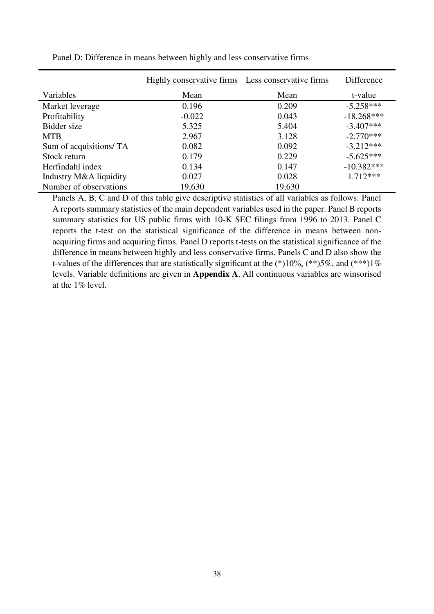|                         | Highly conservative firms | Less conservative firms | Difference   |
|-------------------------|---------------------------|-------------------------|--------------|
| Variables               | Mean                      | Mean                    | t-value      |
| Market leverage         | 0.196                     | 0.209                   | $-5.258***$  |
| Profitability           | $-0.022$                  | 0.043                   | $-18.268***$ |
| Bidder size             | 5.325                     | 5.404                   | $-3.407***$  |
| <b>MTB</b>              | 2.967                     | 3.128                   | $-2.770***$  |
| Sum of acquisitions/ TA | 0.082                     | 0.092                   | $-3.212***$  |
| Stock return            | 0.179                     | 0.229                   | $-5.625***$  |
| Herfindahl index        | 0.134                     | 0.147                   | $-10.382***$ |
| Industry M&A liquidity  | 0.027                     | 0.028                   | $1.712***$   |
| Number of observations  | 19,630                    | 19,630                  |              |

Panel D: Difference in means between highly and less conservative firms

Panels A, B, C and D of this table give descriptive statistics of all variables as follows: Panel A reports summary statistics of the main dependent variables used in the paper. Panel B reports summary statistics for US public firms with 10-K SEC filings from 1996 to 2013. Panel C reports the t-test on the statistical significance of the difference in means between nonacquiring firms and acquiring firms. Panel D reports t-tests on the statistical significance of the difference in means between highly and less conservative firms. Panels C and D also show the t-values of the differences that are statistically significant at the  $(*10\%, (**)5\%,$  and  $(***)1\%$ levels. Variable definitions are given in **Appendix A**. All continuous variables are winsorised at the 1% level.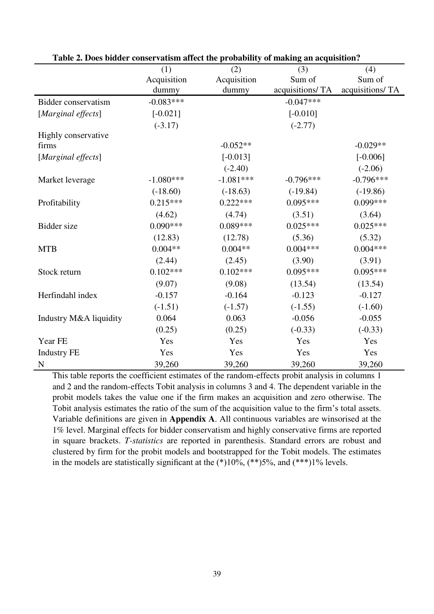|                        | (1)         | (2)         | (3)             | (4)             |
|------------------------|-------------|-------------|-----------------|-----------------|
|                        | Acquisition | Acquisition | Sum of          | Sum of          |
|                        | dummy       | dummy       | acquisitions/TA | acquisitions/TA |
| Bidder conservatism    | $-0.083***$ |             | $-0.047***$     |                 |
| [Marginal effects]     | $[-0.021]$  |             | $[-0.010]$      |                 |
|                        | $(-3.17)$   |             | $(-2.77)$       |                 |
| Highly conservative    |             |             |                 |                 |
| firms                  |             | $-0.052**$  |                 | $-0.029**$      |
| [Marginal effects]     |             | $[-0.013]$  |                 | $[-0.006]$      |
|                        |             | $(-2.40)$   |                 | $(-2.06)$       |
| Market leverage        | $-1.080***$ | $-1.081***$ | $-0.796***$     | $-0.796***$     |
|                        | $(-18.60)$  | $(-18.63)$  | $(-19.84)$      | $(-19.86)$      |
| Profitability          | $0.215***$  | $0.222***$  | $0.095***$      | $0.099***$      |
|                        | (4.62)      | (4.74)      | (3.51)          | (3.64)          |
| Bidder size            | $0.090***$  | $0.089***$  | $0.025***$      | $0.025***$      |
|                        | (12.83)     | (12.78)     | (5.36)          | (5.32)          |
| <b>MTB</b>             | $0.004**$   | $0.004**$   | $0.004***$      | $0.004***$      |
|                        | (2.44)      | (2.45)      | (3.90)          | (3.91)          |
| Stock return           | $0.102***$  | $0.102***$  | $0.095***$      | $0.095***$      |
|                        | (9.07)      | (9.08)      | (13.54)         | (13.54)         |
| Herfindahl index       | $-0.157$    | $-0.164$    | $-0.123$        | $-0.127$        |
|                        | $(-1.51)$   | $(-1.57)$   | $(-1.55)$       | $(-1.60)$       |
| Industry M&A liquidity | 0.064       | 0.063       | $-0.056$        | $-0.055$        |
|                        | (0.25)      | (0.25)      | $(-0.33)$       | $(-0.33)$       |
| Year FE                | Yes         | Yes         | Yes             | Yes             |
| <b>Industry FE</b>     | Yes         | Yes         | Yes             | Yes             |
| N                      | 39,260      | 39,260      | 39,260          | 39,260          |

**Table 2. Does bidder conservatism affect the probability of making an acquisition?** 

This table reports the coefficient estimates of the random-effects probit analysis in columns 1 and 2 and the random-effects Tobit analysis in columns 3 and 4. The dependent variable in the probit models takes the value one if the firm makes an acquisition and zero otherwise. The Tobit analysis estimates the ratio of the sum of the acquisition value to the firm's total assets. Variable definitions are given in **Appendix A**. All continuous variables are winsorised at the 1% level. Marginal effects for bidder conservatism and highly conservative firms are reported in square brackets. *T-statistics* are reported in parenthesis. Standard errors are robust and clustered by firm for the probit models and bootstrapped for the Tobit models. The estimates in the models are statistically significant at the  $(*10\%, (**)5\%,$  and  $(***)1\%$  levels.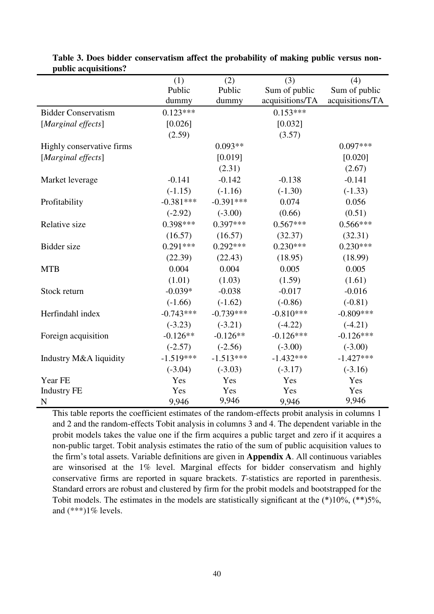|                            | (1)         | (2)         | (3)             | (4)             |
|----------------------------|-------------|-------------|-----------------|-----------------|
|                            | Public      | Public      | Sum of public   | Sum of public   |
|                            | dummy       | dummy       | acquisitions/TA | acquisitions/TA |
| <b>Bidder Conservatism</b> | $0.123***$  |             | $0.153***$      |                 |
| [Marginal effects]         | [0.026]     |             | [0.032]         |                 |
|                            | (2.59)      |             | (3.57)          |                 |
| Highly conservative firms  |             | $0.093**$   |                 | $0.097***$      |
| [Marginal effects]         |             | [0.019]     |                 | [0.020]         |
|                            |             | (2.31)      |                 | (2.67)          |
| Market leverage            | $-0.141$    | $-0.142$    | $-0.138$        | $-0.141$        |
|                            | $(-1.15)$   | $(-1.16)$   | $(-1.30)$       | $(-1.33)$       |
| Profitability              | $-0.381***$ | $-0.391***$ | 0.074           | 0.056           |
|                            | $(-2.92)$   | $(-3.00)$   | (0.66)          | (0.51)          |
| Relative size              | $0.398***$  | $0.397***$  | $0.567***$      | $0.566***$      |
|                            | (16.57)     | (16.57)     | (32.37)         | (32.31)         |
| Bidder size                | $0.291***$  | $0.292***$  | $0.230***$      | $0.230***$      |
|                            | (22.39)     | (22.43)     | (18.95)         | (18.99)         |
| <b>MTB</b>                 | 0.004       | 0.004       | 0.005           | 0.005           |
|                            | (1.01)      | (1.03)      | (1.59)          | (1.61)          |
| Stock return               | $-0.039*$   | $-0.038$    | $-0.017$        | $-0.016$        |
|                            | $(-1.66)$   | $(-1.62)$   | $(-0.86)$       | $(-0.81)$       |
| Herfindahl index           | $-0.743***$ | $-0.739***$ | $-0.810***$     | $-0.809***$     |
|                            | $(-3.23)$   | $(-3.21)$   | $(-4.22)$       | $(-4.21)$       |
| Foreign acquisition        | $-0.126**$  | $-0.126**$  | $-0.126***$     | $-0.126***$     |
|                            | $(-2.57)$   | $(-2.56)$   | $(-3.00)$       | $(-3.00)$       |
| Industry M&A liquidity     | $-1.519***$ | $-1.513***$ | $-1.432***$     | $-1.427***$     |
|                            | $(-3.04)$   | $(-3.03)$   | $(-3.17)$       | $(-3.16)$       |
| Year FE                    | Yes         | Yes         | Yes             | Yes             |
| <b>Industry FE</b>         | Yes         | Yes         | Yes             | Yes             |
| $\mathbf N$                | 9,946       | 9,946       | 9,946           | 9,946           |

**Table 3. Does bidder conservatism affect the probability of making public versus nonpublic acquisitions?** 

This table reports the coefficient estimates of the random-effects probit analysis in columns 1 and 2 and the random-effects Tobit analysis in columns 3 and 4. The dependent variable in the probit models takes the value one if the firm acquires a public target and zero if it acquires a non-public target. Tobit analysis estimates the ratio of the sum of public acquisition values to the firm's total assets. Variable definitions are given in **Appendix A**. All continuous variables are winsorised at the 1% level. Marginal effects for bidder conservatism and highly conservative firms are reported in square brackets. *T-*statistics are reported in parenthesis. Standard errors are robust and clustered by firm for the probit models and bootstrapped for the Tobit models. The estimates in the models are statistically significant at the (\*)10%, (\*\*)5%, and  $(***1%$  levels.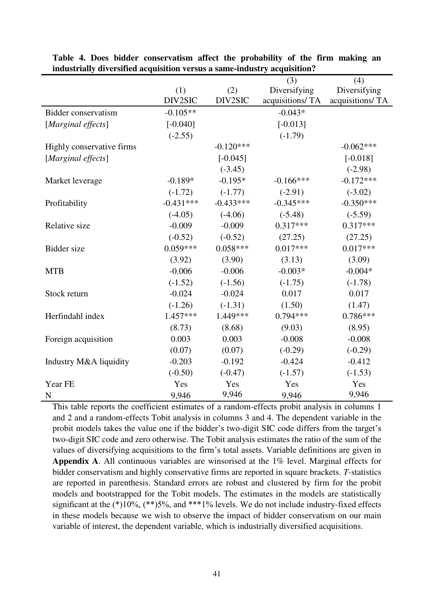|                           |             |             | (3)             | (4)             |
|---------------------------|-------------|-------------|-----------------|-----------------|
|                           | (1)         | (2)         | Diversifying    | Diversifying    |
|                           | DIV2SIC     | DIV2SIC     | acquisitions/TA | acquisitions/TA |
| Bidder conservatism       | $-0.105**$  |             | $-0.043*$       |                 |
| [Marginal effects]        | $[-0.040]$  |             | $[-0.013]$      |                 |
|                           | $(-2.55)$   |             | $(-1.79)$       |                 |
| Highly conservative firms |             | $-0.120***$ |                 | $-0.062***$     |
| [Marginal effects]        |             | $[-0.045]$  |                 | $[-0.018]$      |
|                           |             | $(-3.45)$   |                 | $(-2.98)$       |
| Market leverage           | $-0.189*$   | $-0.195*$   | $-0.166***$     | $-0.172***$     |
|                           | $(-1.72)$   | $(-1.77)$   | $(-2.91)$       | $(-3.02)$       |
| Profitability             | $-0.431***$ | $-0.433***$ | $-0.345***$     | $-0.350***$     |
|                           | $(-4.05)$   | $(-4.06)$   | $(-5.48)$       | $(-5.59)$       |
| Relative size             | $-0.009$    | $-0.009$    | $0.317***$      | $0.317***$      |
|                           | $(-0.52)$   | $(-0.52)$   | (27.25)         | (27.25)         |
| <b>Bidder</b> size        | $0.059***$  | $0.058***$  | $0.017***$      | $0.017***$      |
|                           | (3.92)      | (3.90)      | (3.13)          | (3.09)          |
| <b>MTB</b>                | $-0.006$    | $-0.006$    | $-0.003*$       | $-0.004*$       |
|                           | $(-1.52)$   | $(-1.56)$   | $(-1.75)$       | $(-1.78)$       |
| Stock return              | $-0.024$    | $-0.024$    | 0.017           | 0.017           |
|                           | $(-1.26)$   | $(-1.31)$   | (1.50)          | (1.47)          |
| Herfindahl index          | $1.457***$  | 1.449***    | $0.794***$      | $0.786***$      |
|                           | (8.73)      | (8.68)      | (9.03)          | (8.95)          |
| Foreign acquisition       | 0.003       | 0.003       | $-0.008$        | $-0.008$        |
|                           | (0.07)      | (0.07)      | $(-0.29)$       | $(-0.29)$       |
| Industry M&A liquidity    | $-0.203$    | $-0.192$    | $-0.424$        | $-0.412$        |
|                           | $(-0.50)$   | $(-0.47)$   | $(-1.57)$       | $(-1.53)$       |
| Year FE                   | Yes         | Yes         | Yes             | Yes             |
| N                         | 9,946       | 9,946       | 9,946           | 9,946           |

**Table 4. Does bidder conservatism affect the probability of the firm making an industrially diversified acquisition versus a same-industry acquisition?** 

This table reports the coefficient estimates of a random-effects probit analysis in columns 1 and 2 and a random-effects Tobit analysis in columns 3 and 4. The dependent variable in the probit models takes the value one if the bidder's two-digit SIC code differs from the target's two-digit SIC code and zero otherwise. The Tobit analysis estimates the ratio of the sum of the values of diversifying acquisitions to the firm's total assets. Variable definitions are given in **Appendix A**. All continuous variables are winsorised at the 1% level. Marginal effects for bidder conservatism and highly conservative firms are reported in square brackets. *T-*statistics are reported in parenthesis. Standard errors are robust and clustered by firm for the probit models and bootstrapped for the Tobit models. The estimates in the models are statistically significant at the  $(*)10\%$ ,  $(*)5\%$ , and  $**1\%$  levels. We do not include industry-fixed effects in these models because we wish to observe the impact of bidder conservatism on our main variable of interest, the dependent variable, which is industrially diversified acquisitions.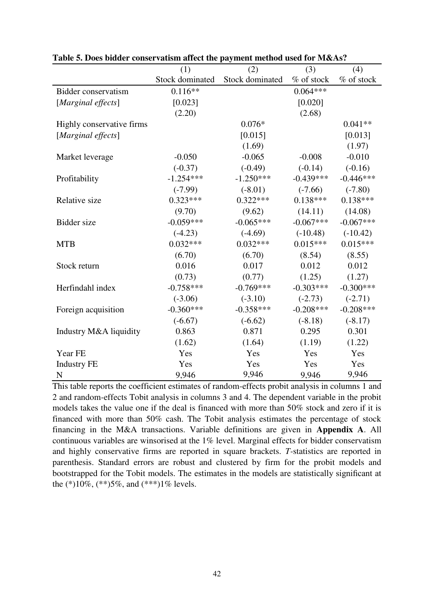|                           | (1)             | (2)             | (3)         | (4)         |
|---------------------------|-----------------|-----------------|-------------|-------------|
|                           | Stock dominated | Stock dominated | % of stock  | % of stock  |
| Bidder conservatism       | $0.116**$       |                 | $0.064***$  |             |
| [Marginal effects]        | [0.023]         |                 | [0.020]     |             |
|                           | (2.20)          |                 | (2.68)      |             |
| Highly conservative firms |                 | $0.076*$        |             | $0.041**$   |
| [Marginal effects]        |                 | [0.015]         |             | [0.013]     |
|                           |                 | (1.69)          |             | (1.97)      |
| Market leverage           | $-0.050$        | $-0.065$        | $-0.008$    | $-0.010$    |
|                           | $(-0.37)$       | $(-0.49)$       | $(-0.14)$   | $(-0.16)$   |
| Profitability             | $-1.254***$     | $-1.250***$     | $-0.439***$ | $-0.446***$ |
|                           | $(-7.99)$       | $(-8.01)$       | $(-7.66)$   | $(-7.80)$   |
| Relative size             | $0.323***$      | $0.322***$      | $0.138***$  | $0.138***$  |
|                           | (9.70)          | (9.62)          | (14.11)     | (14.08)     |
| Bidder size               | $-0.059***$     | $-0.065***$     | $-0.067***$ | $-0.067***$ |
|                           | $(-4.23)$       | $(-4.69)$       | $(-10.48)$  | $(-10.42)$  |
| <b>MTB</b>                | $0.032***$      | $0.032***$      | $0.015***$  | $0.015***$  |
|                           | (6.70)          | (6.70)          | (8.54)      | (8.55)      |
| Stock return              | 0.016           | 0.017           | 0.012       | 0.012       |
|                           | (0.73)          | (0.77)          | (1.25)      | (1.27)      |
| Herfindahl index          | $-0.758***$     | $-0.769***$     | $-0.303***$ | $-0.300***$ |
|                           | $(-3.06)$       | $(-3.10)$       | $(-2.73)$   | $(-2.71)$   |
| Foreign acquisition       | $-0.360***$     | $-0.358***$     | $-0.208***$ | $-0.208***$ |
|                           | $(-6.67)$       | $(-6.62)$       | $(-8.18)$   | $(-8.17)$   |
| Industry M&A liquidity    | 0.863           | 0.871           | 0.295       | 0.301       |
|                           | (1.62)          | (1.64)          | (1.19)      | (1.22)      |
| Year FE                   | Yes             | Yes             | Yes         | Yes         |
| <b>Industry FE</b>        | Yes             | Yes             | Yes         | Yes         |
| $\mathbf N$               | 9,946           | 9,946           | 9,946       | 9,946       |

**Table 5. Does bidder conservatism affect the payment method used for M&As?** 

This table reports the coefficient estimates of random-effects probit analysis in columns 1 and 2 and random-effects Tobit analysis in columns 3 and 4. The dependent variable in the probit models takes the value one if the deal is financed with more than 50% stock and zero if it is financed with more than 50% cash. The Tobit analysis estimates the percentage of stock financing in the M&A transactions. Variable definitions are given in **Appendix A**. All continuous variables are winsorised at the 1% level. Marginal effects for bidder conservatism and highly conservative firms are reported in square brackets. *T-*statistics are reported in parenthesis. Standard errors are robust and clustered by firm for the probit models and bootstrapped for the Tobit models. The estimates in the models are statistically significant at the  $(*10\%, (**)5\%,$  and  $(***1\%$  levels.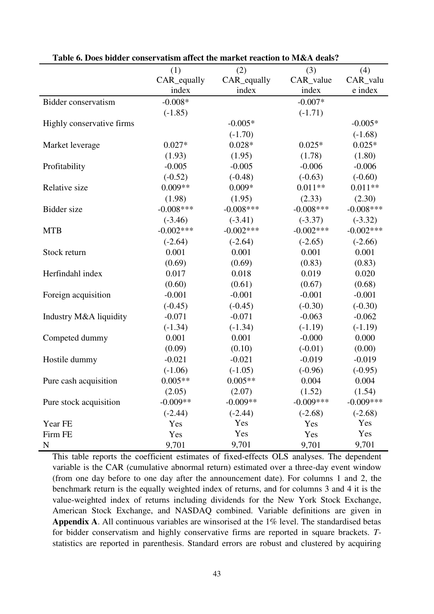|                           | (1)         | (2)          | (3)         | (4)          |
|---------------------------|-------------|--------------|-------------|--------------|
|                           | CAR_equally | CAR_equally  | CAR_value   | CAR_valu     |
|                           | index       | index        | index       | e index      |
| Bidder conservatism       | $-0.008*$   |              | $-0.007*$   |              |
|                           | $(-1.85)$   |              | $(-1.71)$   |              |
| Highly conservative firms |             | $-0.005*$    |             | $-0.005*$    |
|                           |             | $(-1.70)$    |             | $(-1.68)$    |
| Market leverage           | $0.027*$    | $0.028*$     | $0.025*$    | $0.025*$     |
|                           | (1.93)      | (1.95)       | (1.78)      | (1.80)       |
| Profitability             | $-0.005$    | $-0.005$     | $-0.006$    | $-0.006$     |
|                           | $(-0.52)$   | $(-0.48)$    | $(-0.63)$   | $(-0.60)$    |
| Relative size             | $0.009**$   | $0.009*$     | $0.011**$   | $0.011**$    |
|                           | (1.98)      | (1.95)       | (2.33)      | (2.30)       |
| Bidder size               | $-0.008***$ | $-0.008$ *** | $-0.008***$ | $-0.008$ *** |
|                           | $(-3.46)$   | $(-3.41)$    | $(-3.37)$   | $(-3.32)$    |
| <b>MTB</b>                | $-0.002***$ | $-0.002***$  | $-0.002***$ | $-0.002***$  |
|                           | $(-2.64)$   | $(-2.64)$    | $(-2.65)$   | $(-2.66)$    |
| Stock return              | 0.001       | 0.001        | 0.001       | 0.001        |
|                           | (0.69)      | (0.69)       | (0.83)      | (0.83)       |
| Herfindahl index          | 0.017       | 0.018        | 0.019       | 0.020        |
|                           | (0.60)      | (0.61)       | (0.67)      | (0.68)       |
| Foreign acquisition       | $-0.001$    | $-0.001$     | $-0.001$    | $-0.001$     |
|                           | $(-0.45)$   | $(-0.45)$    | $(-0.30)$   | $(-0.30)$    |
| Industry M&A liquidity    | $-0.071$    | $-0.071$     | $-0.063$    | $-0.062$     |
|                           | $(-1.34)$   | $(-1.34)$    | $(-1.19)$   | $(-1.19)$    |
| Competed dummy            | 0.001       | 0.001        | $-0.000$    | 0.000        |
|                           | (0.09)      | (0.10)       | $(-0.01)$   | (0.00)       |
| Hostile dummy             | $-0.021$    | $-0.021$     | $-0.019$    | $-0.019$     |
|                           | $(-1.06)$   | $(-1.05)$    | $(-0.96)$   | $(-0.95)$    |
| Pure cash acquisition     | $0.005**$   | $0.005**$    | 0.004       | 0.004        |
|                           | (2.05)      | (2.07)       | (1.52)      | (1.54)       |
| Pure stock acquisition    | $-0.009**$  | $-0.009**$   | $-0.009***$ | $-0.009***$  |
|                           | $(-2.44)$   | $(-2.44)$    | $(-2.68)$   | $(-2.68)$    |
| Year FE                   | Yes         | Yes          | Yes         | Yes          |
| Firm FE                   | Yes         | Yes          | Yes         | Yes          |
| $\mathbf N$               | 9,701       | 9,701        | 9,701       | 9,701        |

**Table 6. Does bidder conservatism affect the market reaction to M&A deals?** 

This table reports the coefficient estimates of fixed-effects OLS analyses. The dependent variable is the CAR (cumulative abnormal return) estimated over a three-day event window (from one day before to one day after the announcement date). For columns 1 and 2, the benchmark return is the equally weighted index of returns, and for columns 3 and 4 it is the value-weighted index of returns including dividends for the New York Stock Exchange, American Stock Exchange, and NASDAQ combined. Variable definitions are given in **Appendix A**. All continuous variables are winsorised at the 1% level. The standardised betas for bidder conservatism and highly conservative firms are reported in square brackets. *T*statistics are reported in parenthesis. Standard errors are robust and clustered by acquiring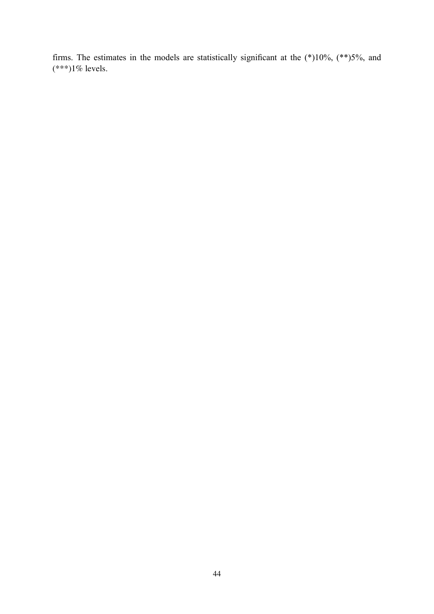firms. The estimates in the models are statistically significant at the  $(*10\%, (**)5\%$ , and  $(***1%$  levels.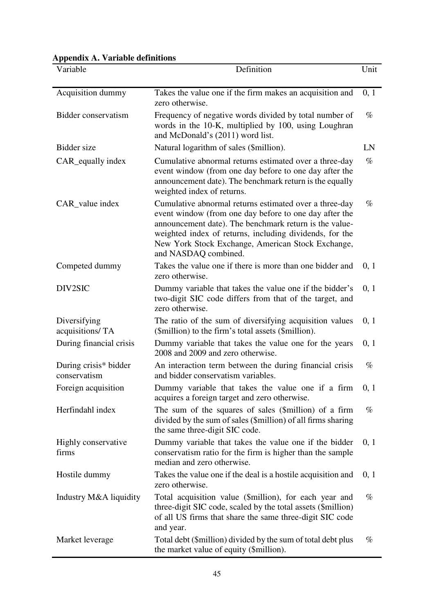| <b>Appendix A. Variable definitions</b> |  |  |
|-----------------------------------------|--|--|
|-----------------------------------------|--|--|

| Variable                              | Definition                                                                                                                                                                                                                                                                                                         | Unit |
|---------------------------------------|--------------------------------------------------------------------------------------------------------------------------------------------------------------------------------------------------------------------------------------------------------------------------------------------------------------------|------|
| Acquisition dummy                     | Takes the value one if the firm makes an acquisition and<br>zero otherwise.                                                                                                                                                                                                                                        | 0, 1 |
| Bidder conservatism                   | Frequency of negative words divided by total number of<br>words in the 10-K, multiplied by 100, using Loughran<br>and McDonald's (2011) word list.                                                                                                                                                                 | $\%$ |
| Bidder size                           | Natural logarithm of sales (\$million).                                                                                                                                                                                                                                                                            | LN   |
| CAR_equally index                     | Cumulative abnormal returns estimated over a three-day<br>event window (from one day before to one day after the<br>announcement date). The benchmark return is the equally<br>weighted index of returns.                                                                                                          | $\%$ |
| CAR_value index                       | Cumulative abnormal returns estimated over a three-day<br>event window (from one day before to one day after the<br>announcement date). The benchmark return is the value-<br>weighted index of returns, including dividends, for the<br>New York Stock Exchange, American Stock Exchange,<br>and NASDAQ combined. | $\%$ |
| Competed dummy                        | Takes the value one if there is more than one bidder and<br>zero otherwise.                                                                                                                                                                                                                                        | 0, 1 |
| DIV2SIC                               | Dummy variable that takes the value one if the bidder's<br>two-digit SIC code differs from that of the target, and<br>zero otherwise.                                                                                                                                                                              | 0, 1 |
| Diversifying<br>acquisitions/TA       | The ratio of the sum of diversifying acquisition values<br>(\$million) to the firm's total assets (\$million).                                                                                                                                                                                                     | 0, 1 |
| During financial crisis               | Dummy variable that takes the value one for the years<br>2008 and 2009 and zero otherwise.                                                                                                                                                                                                                         | 0, 1 |
| During crisis* bidder<br>conservatism | An interaction term between the during financial crisis<br>and bidder conservatism variables.                                                                                                                                                                                                                      | $\%$ |
| Foreign acquisition                   | Dummy variable that takes the value one if a firm<br>acquires a foreign target and zero otherwise.                                                                                                                                                                                                                 | 0, 1 |
| Herfindahl index                      | The sum of the squares of sales (\$million) of a firm<br>divided by the sum of sales (\$million) of all firms sharing<br>the same three-digit SIC code.                                                                                                                                                            | $\%$ |
| Highly conservative<br>firms          | Dummy variable that takes the value one if the bidder<br>conservatism ratio for the firm is higher than the sample<br>median and zero otherwise.                                                                                                                                                                   | 0, 1 |
| Hostile dummy                         | Takes the value one if the deal is a hostile acquisition and<br>zero otherwise.                                                                                                                                                                                                                                    | 0, 1 |
| Industry M&A liquidity                | Total acquisition value (\$million), for each year and<br>three-digit SIC code, scaled by the total assets (\$million)<br>of all US firms that share the same three-digit SIC code<br>and year.                                                                                                                    | $\%$ |
| Market leverage                       | Total debt (\$million) divided by the sum of total debt plus<br>the market value of equity (\$million).                                                                                                                                                                                                            | $\%$ |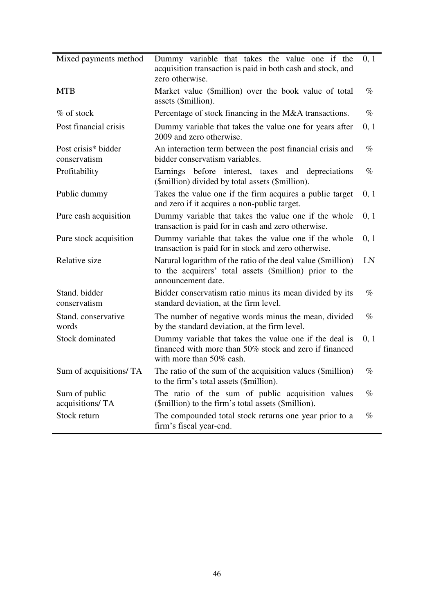| Mixed payments method               | Dummy variable that takes the value one if the<br>acquisition transaction is paid in both cash and stock, and<br>zero otherwise.              | 0, 1 |
|-------------------------------------|-----------------------------------------------------------------------------------------------------------------------------------------------|------|
| <b>MTB</b>                          | Market value (\$million) over the book value of total<br>assets (\$million).                                                                  | $\%$ |
| $%$ of stock                        | Percentage of stock financing in the M&A transactions.                                                                                        | $\%$ |
| Post financial crisis               | Dummy variable that takes the value one for years after<br>2009 and zero otherwise.                                                           | 0, 1 |
| Post crisis* bidder<br>conservatism | An interaction term between the post financial crisis and<br>bidder conservatism variables.                                                   | $\%$ |
| Profitability                       | Earnings before interest, taxes and depreciations<br>(\$million) divided by total assets (\$million).                                         | $\%$ |
| Public dummy                        | Takes the value one if the firm acquires a public target<br>and zero if it acquires a non-public target.                                      | 0, 1 |
| Pure cash acquisition               | Dummy variable that takes the value one if the whole<br>transaction is paid for in cash and zero otherwise.                                   | 0, 1 |
| Pure stock acquisition              | Dummy variable that takes the value one if the whole<br>transaction is paid for in stock and zero otherwise.                                  | 0, 1 |
| Relative size                       | Natural logarithm of the ratio of the deal value (\$million)<br>to the acquirers' total assets (\$million) prior to the<br>announcement date. | LN   |
| Stand. bidder<br>conservatism       | Bidder conservatism ratio minus its mean divided by its<br>standard deviation, at the firm level.                                             | $\%$ |
| Stand. conservative<br>words        | The number of negative words minus the mean, divided<br>by the standard deviation, at the firm level.                                         | $\%$ |
| Stock dominated                     | Dummy variable that takes the value one if the deal is<br>financed with more than 50% stock and zero if financed<br>with more than 50% cash.  | 0, 1 |
| Sum of acquisitions/ TA             | The ratio of the sum of the acquisition values (\$million)<br>to the firm's total assets (\$million).                                         | $\%$ |
| Sum of public<br>acquisitions/TA    | The ratio of the sum of public acquisition values<br>(\$million) to the firm's total assets (\$million).                                      | $\%$ |
| Stock return                        | The compounded total stock returns one year prior to a<br>firm's fiscal year-end.                                                             | $\%$ |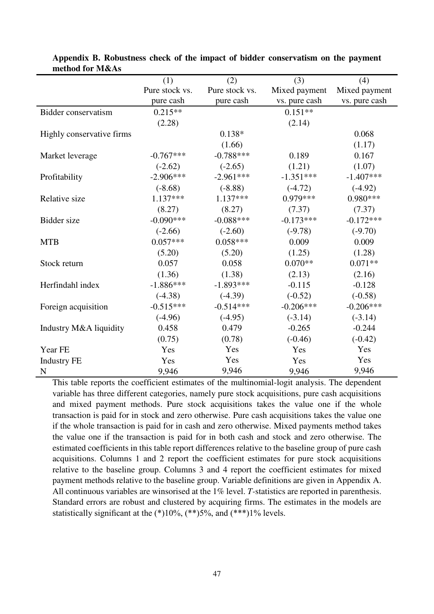|                           | (1)            | (2)            | (3)           | (4)           |
|---------------------------|----------------|----------------|---------------|---------------|
|                           | Pure stock vs. | Pure stock vs. | Mixed payment | Mixed payment |
|                           | pure cash      | pure cash      | vs. pure cash | vs. pure cash |
| Bidder conservatism       | $0.215**$      |                | $0.151**$     |               |
|                           | (2.28)         |                | (2.14)        |               |
| Highly conservative firms |                | $0.138*$       |               | 0.068         |
|                           |                | (1.66)         |               | (1.17)        |
| Market leverage           | $-0.767***$    | $-0.788***$    | 0.189         | 0.167         |
|                           | $(-2.62)$      | $(-2.65)$      | (1.21)        | (1.07)        |
| Profitability             | $-2.906***$    | $-2.961***$    | $-1.351***$   | $-1.407***$   |
|                           | $(-8.68)$      | $(-8.88)$      | $(-4.72)$     | $(-4.92)$     |
| Relative size             | $1.137***$     | $1.137***$     | $0.979***$    | $0.980***$    |
|                           | (8.27)         | (8.27)         | (7.37)        | (7.37)        |
| Bidder size               | $-0.090***$    | $-0.088***$    | $-0.173***$   | $-0.172***$   |
|                           | $(-2.66)$      | $(-2.60)$      | $(-9.78)$     | $(-9.70)$     |
| <b>MTB</b>                | $0.057***$     | $0.058***$     | 0.009         | 0.009         |
|                           | (5.20)         | (5.20)         | (1.25)        | (1.28)        |
| Stock return              | 0.057          | 0.058          | $0.070**$     | $0.071**$     |
|                           | (1.36)         | (1.38)         | (2.13)        | (2.16)        |
| Herfindahl index          | $-1.886***$    | $-1.893***$    | $-0.115$      | $-0.128$      |
|                           | $(-4.38)$      | $(-4.39)$      | $(-0.52)$     | $(-0.58)$     |
| Foreign acquisition       | $-0.515***$    | $-0.514***$    | $-0.206***$   | $-0.206***$   |
|                           | $(-4.96)$      | $(-4.95)$      | $(-3.14)$     | $(-3.14)$     |
| Industry M&A liquidity    | 0.458          | 0.479          | $-0.265$      | $-0.244$      |
|                           | (0.75)         | (0.78)         | $(-0.46)$     | $(-0.42)$     |
| Year FE                   | Yes            | Yes            | Yes           | Yes           |
| <b>Industry FE</b>        | Yes            | Yes            | Yes           | Yes           |
| N                         | 9,946          | 9,946          | 9,946         | 9,946         |

**Appendix B. Robustness check of the impact of bidder conservatism on the payment method for M&As**

This table reports the coefficient estimates of the multinomial-logit analysis. The dependent variable has three different categories, namely pure stock acquisitions, pure cash acquisitions and mixed payment methods. Pure stock acquisitions takes the value one if the whole transaction is paid for in stock and zero otherwise. Pure cash acquisitions takes the value one if the whole transaction is paid for in cash and zero otherwise. Mixed payments method takes the value one if the transaction is paid for in both cash and stock and zero otherwise. The estimated coefficients in this table report differences relative to the baseline group of pure cash acquisitions. Columns 1 and 2 report the coefficient estimates for pure stock acquisitions relative to the baseline group. Columns 3 and 4 report the coefficient estimates for mixed payment methods relative to the baseline group. Variable definitions are given in Appendix A. All continuous variables are winsorised at the 1% level. *T-*statistics are reported in parenthesis. Standard errors are robust and clustered by acquiring firms. The estimates in the models are statistically significant at the  $(*10\%, (**)5\%,$  and  $(***)1\%$  levels.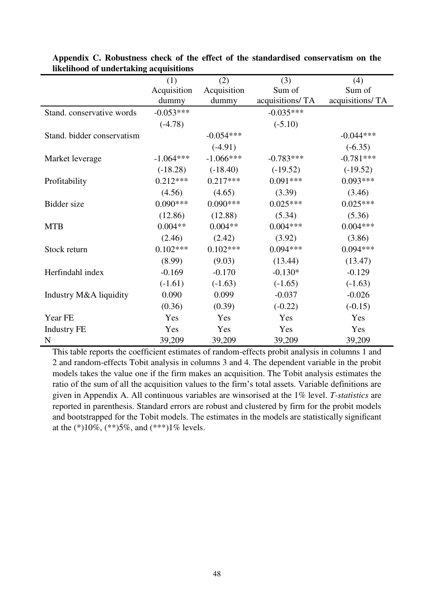|                            | (1)         | (2)         | (3)             | (4)             |
|----------------------------|-------------|-------------|-----------------|-----------------|
|                            | Acquisition | Acquisition | Sum of          | Sum of          |
|                            | dummy       | dummy       | acquisitions/TA | acquisitions/TA |
| Stand. conservative words  | $-0.053***$ |             | $-0.035***$     |                 |
|                            | $(-4.78)$   |             | $(-5.10)$       |                 |
| Stand. bidder conservatism |             | $-0.054***$ |                 | $-0.044***$     |
|                            |             | $(-4.91)$   |                 | $(-6.35)$       |
| Market leverage            | $-1.064***$ | $-1.066***$ | $-0.783***$     | $-0.781***$     |
|                            | $(-18.28)$  | $(-18.40)$  | $(-19.52)$      | $(-19.52)$      |
| Profitability              | $0.212***$  | $0.217***$  | $0.091***$      | $0.093***$      |
|                            | (4.56)      | (4.65)      | (3.39)          | (3.46)          |
| <b>Bidder</b> size         | $0.090***$  | $0.090***$  | $0.025***$      | $0.025***$      |
|                            | (12.86)     | (12.88)     | (5.34)          | (5.36)          |
| <b>MTB</b>                 | $0.004**$   | $0.004**$   | $0.004***$      | $0.004***$      |
|                            | (2.46)      | (2.42)      | (3.92)          | (3.86)          |
| Stock return               | $0.102***$  | $0.102***$  | $0.094***$      | $0.094***$      |
|                            | (8.99)      | (9.03)      | (13.44)         | (13.47)         |
| Herfindahl index           | $-0.169$    | $-0.170$    | $-0.130*$       | $-0.129$        |
|                            | $(-1.61)$   | $(-1.63)$   | $(-1.65)$       | $(-1.63)$       |
| Industry M&A liquidity     | 0.090       | 0.099       | $-0.037$        | $-0.026$        |
|                            | (0.36)      | (0.39)      | $(-0.22)$       | $(-0.15)$       |
| Year FE                    | Yes         | Yes         | Yes             | Yes             |
| <b>Industry FE</b>         | Yes         | Yes         | Yes             | Yes             |
| N                          | 39,209      | 39,209      | 39,209          | 39,209          |

| Appendix C. Robustness check of the effect of the standardised conservatism on the |  |  |  |  |
|------------------------------------------------------------------------------------|--|--|--|--|
| likelihood of undertaking acquisitions                                             |  |  |  |  |

This table reports the coefficient estimates of random-effects probit analysis in columns 1 and 2 and random-effects Tobit analysis in columns 3 and 4. The dependent variable in the probit models takes the value one if the firm makes an acquisition. The Tobit analysis estimates the ratio of the sum of all the acquisition values to the firm's total assets. Variable definitions are given in Appendix A. All continuous variables are winsorised at the 1% level. *T-statistics* are reported in parenthesis. Standard errors are robust and clustered by firm for the probit models and bootstrapped for the Tobit models. The estimates in the models are statistically significant at the  $(*10\%, (**)5\%,$  and  $(***1\%$  levels.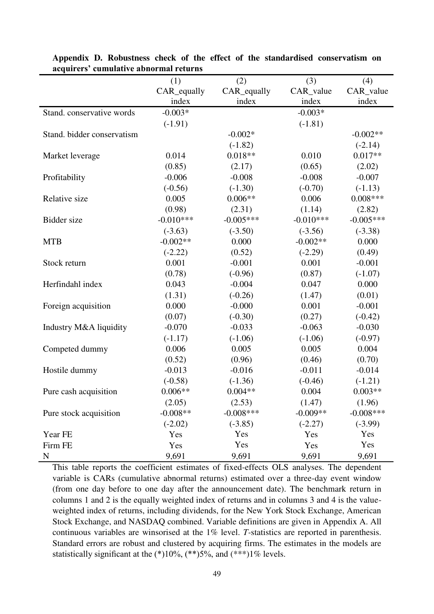|                            | (1)         | (2)          | (3)         | (4)         |
|----------------------------|-------------|--------------|-------------|-------------|
|                            | CAR_equally | CAR_equally  | CAR_value   | CAR_value   |
|                            | index       | index        | index       | index       |
| Stand. conservative words  | $-0.003*$   |              | $-0.003*$   |             |
|                            | $(-1.91)$   |              | $(-1.81)$   |             |
| Stand. bidder conservatism |             | $-0.002*$    |             | $-0.002**$  |
|                            |             | $(-1.82)$    |             | $(-2.14)$   |
| Market leverage            | 0.014       | $0.018**$    | 0.010       | $0.017**$   |
|                            | (0.85)      | (2.17)       | (0.65)      | (2.02)      |
| Profitability              | $-0.006$    | $-0.008$     | $-0.008$    | $-0.007$    |
|                            | $(-0.56)$   | $(-1.30)$    | $(-0.70)$   | $(-1.13)$   |
| Relative size              | 0.005       | $0.006**$    | 0.006       | $0.008***$  |
|                            | (0.98)      | (2.31)       | (1.14)      | (2.82)      |
| Bidder size                | $-0.010***$ | $-0.005***$  | $-0.010***$ | $-0.005***$ |
|                            | $(-3.63)$   | $(-3.50)$    | $(-3.56)$   | $(-3.38)$   |
| <b>MTB</b>                 | $-0.002**$  | 0.000        | $-0.002**$  | 0.000       |
|                            | $(-2.22)$   | (0.52)       | $(-2.29)$   | (0.49)      |
| Stock return               | 0.001       | $-0.001$     | 0.001       | $-0.001$    |
|                            | (0.78)      | $(-0.96)$    | (0.87)      | $(-1.07)$   |
| Herfindahl index           | 0.043       | $-0.004$     | 0.047       | 0.000       |
|                            | (1.31)      | $(-0.26)$    | (1.47)      | (0.01)      |
| Foreign acquisition        | 0.000       | $-0.000$     | 0.001       | $-0.001$    |
|                            | (0.07)      | $(-0.30)$    | (0.27)      | $(-0.42)$   |
| Industry M&A liquidity     | $-0.070$    | $-0.033$     | $-0.063$    | $-0.030$    |
|                            | $(-1.17)$   | $(-1.06)$    | $(-1.06)$   | $(-0.97)$   |
| Competed dummy             | 0.006       | 0.005        | 0.005       | 0.004       |
|                            | (0.52)      | (0.96)       | (0.46)      | (0.70)      |
| Hostile dummy              | $-0.013$    | $-0.016$     | $-0.011$    | $-0.014$    |
|                            | $(-0.58)$   | $(-1.36)$    | $(-0.46)$   | $(-1.21)$   |
| Pure cash acquisition      | $0.006**$   | $0.004**$    | 0.004       | $0.003**$   |
|                            | (2.05)      | (2.53)       | (1.47)      | (1.96)      |
| Pure stock acquisition     | $-0.008**$  | $-0.008$ *** | $-0.009**$  | $-0.008***$ |
|                            | $(-2.02)$   | $(-3.85)$    | $(-2.27)$   | $(-3.99)$   |
| Year FE                    | Yes         | Yes          | Yes         | Yes         |
| Firm FE                    | Yes         | Yes          | Yes         | Yes         |
| $\mathbf N$                | 9,691       | 9,691        | 9,691       | 9,691       |

**Appendix D. Robustness check of the effect of the standardised conservatism on acquirers' cumulative abnormal returns**

This table reports the coefficient estimates of fixed-effects OLS analyses. The dependent variable is CARs (cumulative abnormal returns) estimated over a three-day event window (from one day before to one day after the announcement date). The benchmark return in columns 1 and 2 is the equally weighted index of returns and in columns 3 and 4 is the valueweighted index of returns, including dividends, for the New York Stock Exchange, American Stock Exchange, and NASDAQ combined. Variable definitions are given in Appendix A. All continuous variables are winsorised at the 1% level. *T-*statistics are reported in parenthesis. Standard errors are robust and clustered by acquiring firms. The estimates in the models are statistically significant at the  $(*)10\%$ ,  $(**)5\%$ , and  $(***)1\%$  levels.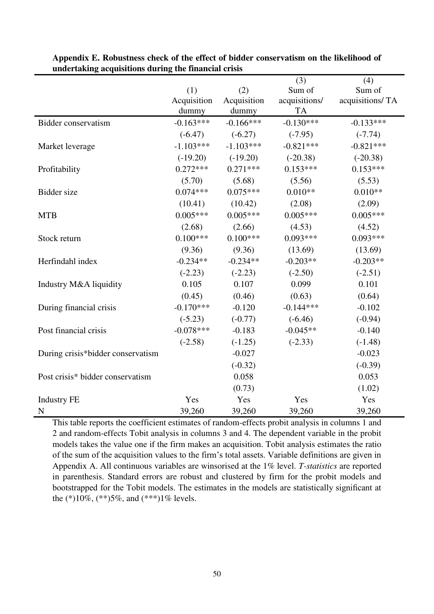|                                   |             |             | (3)           | (4)             |
|-----------------------------------|-------------|-------------|---------------|-----------------|
|                                   | (1)         | (2)         | Sum of        | Sum of          |
|                                   | Acquisition | Acquisition | acquisitions/ | acquisitions/TA |
|                                   | dummy       | dummy       | <b>TA</b>     |                 |
| Bidder conservatism               | $-0.163***$ | $-0.166***$ | $-0.130***$   | $-0.133***$     |
|                                   | $(-6.47)$   | $(-6.27)$   | $(-7.95)$     | $(-7.74)$       |
| Market leverage                   | $-1.103***$ | $-1.103***$ | $-0.821***$   | $-0.821***$     |
|                                   | $(-19.20)$  | $(-19.20)$  | $(-20.38)$    | $(-20.38)$      |
| Profitability                     | $0.272***$  | $0.271***$  | $0.153***$    | $0.153***$      |
|                                   | (5.70)      | (5.68)      | (5.56)        | (5.53)          |
| <b>Bidder</b> size                | $0.074***$  | $0.075***$  | $0.010**$     | $0.010**$       |
|                                   | (10.41)     | (10.42)     | (2.08)        | (2.09)          |
| <b>MTB</b>                        | $0.005***$  | $0.005***$  | $0.005***$    | $0.005***$      |
|                                   | (2.68)      | (2.66)      | (4.53)        | (4.52)          |
| Stock return                      | $0.100***$  | $0.100***$  | $0.093***$    | $0.093***$      |
|                                   | (9.36)      | (9.36)      | (13.69)       | (13.69)         |
| Herfindahl index                  | $-0.234**$  | $-0.234**$  | $-0.203**$    | $-0.203**$      |
|                                   | $(-2.23)$   | $(-2.23)$   | $(-2.50)$     | $(-2.51)$       |
| Industry M&A liquidity            | 0.105       | 0.107       | 0.099         | 0.101           |
|                                   | (0.45)      | (0.46)      | (0.63)        | (0.64)          |
| During financial crisis           | $-0.170***$ | $-0.120$    | $-0.144***$   | $-0.102$        |
|                                   | $(-5.23)$   | $(-0.77)$   | $(-6.46)$     | $(-0.94)$       |
| Post financial crisis             | $-0.078***$ | $-0.183$    | $-0.045**$    | $-0.140$        |
|                                   | $(-2.58)$   | $(-1.25)$   | $(-2.33)$     | $(-1.48)$       |
| During crisis*bidder conservatism |             | $-0.027$    |               | $-0.023$        |
|                                   |             | $(-0.32)$   |               | $(-0.39)$       |
| Post crisis* bidder conservatism  |             | 0.058       |               | 0.053           |
|                                   |             | (0.73)      |               | (1.02)          |
| <b>Industry FE</b>                | Yes         | Yes         | Yes           | Yes             |
| $\mathbf N$                       | 39,260      | 39,260      | 39,260        | 39,260          |

**Appendix E. Robustness check of the effect of bidder conservatism on the likelihood of undertaking acquisitions during the financial crisis** 

This table reports the coefficient estimates of random-effects probit analysis in columns 1 and 2 and random-effects Tobit analysis in columns 3 and 4. The dependent variable in the probit models takes the value one if the firm makes an acquisition. Tobit analysis estimates the ratio of the sum of the acquisition values to the firm's total assets. Variable definitions are given in Appendix A. All continuous variables are winsorised at the 1% level. *T-statistics* are reported in parenthesis. Standard errors are robust and clustered by firm for the probit models and bootstrapped for the Tobit models. The estimates in the models are statistically significant at the  $(*10\%, (**)5\%,$  and  $(***1\%$  levels.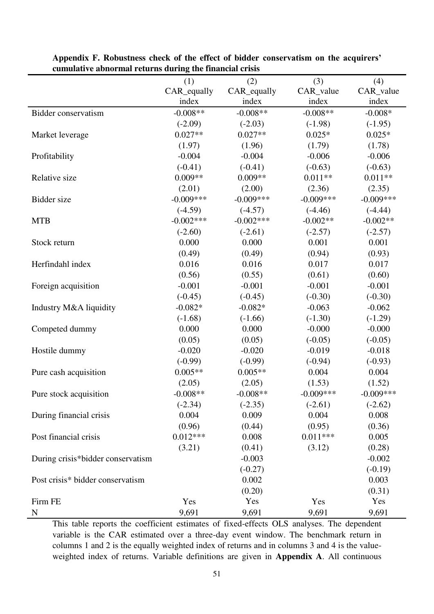|                                   | o<br>(1)    | (2)          | (3)         | (4)         |
|-----------------------------------|-------------|--------------|-------------|-------------|
|                                   | CAR_equally | CAR_equally  | CAR_value   | CAR_value   |
|                                   | index       | index        | index       | index       |
| Bidder conservatism               | $-0.008**$  | $-0.008**$   | $-0.008**$  | $-0.008*$   |
|                                   | $(-2.09)$   | $(-2.03)$    | $(-1.98)$   | $(-1.95)$   |
| Market leverage                   | $0.027**$   | $0.027**$    | $0.025*$    | $0.025*$    |
|                                   | (1.97)      | (1.96)       | (1.79)      | (1.78)      |
| Profitability                     | $-0.004$    | $-0.004$     | $-0.006$    | $-0.006$    |
|                                   | $(-0.41)$   | $(-0.41)$    | $(-0.63)$   | $(-0.63)$   |
| Relative size                     | $0.009**$   | $0.009**$    | $0.011**$   | $0.011**$   |
|                                   | (2.01)      | (2.00)       | (2.36)      | (2.35)      |
| Bidder size                       | $-0.009***$ | $-0.009***$  | $-0.009***$ | $-0.009***$ |
|                                   | $(-4.59)$   | $(-4.57)$    | $(-4.46)$   | $(-4.44)$   |
| <b>MTB</b>                        | $-0.002***$ | $-0.002$ *** | $-0.002**$  | $-0.002**$  |
|                                   | $(-2.60)$   | $(-2.61)$    | $(-2.57)$   | $(-2.57)$   |
| Stock return                      | 0.000       | 0.000        | 0.001       | 0.001       |
|                                   | (0.49)      | (0.49)       | (0.94)      | (0.93)      |
| Herfindahl index                  | 0.016       | 0.016        | 0.017       | 0.017       |
|                                   | (0.56)      | (0.55)       | (0.61)      | (0.60)      |
| Foreign acquisition               | $-0.001$    | $-0.001$     | $-0.001$    | $-0.001$    |
|                                   | $(-0.45)$   | $(-0.45)$    | $(-0.30)$   | $(-0.30)$   |
| Industry M&A liquidity            | $-0.082*$   | $-0.082*$    | $-0.063$    | $-0.062$    |
|                                   | $(-1.68)$   | $(-1.66)$    | $(-1.30)$   | $(-1.29)$   |
| Competed dummy                    | 0.000       | 0.000        | $-0.000$    | $-0.000$    |
|                                   | (0.05)      | (0.05)       | $(-0.05)$   | $(-0.05)$   |
| Hostile dummy                     | $-0.020$    | $-0.020$     | $-0.019$    | $-0.018$    |
|                                   | $(-0.99)$   | $(-0.99)$    | $(-0.94)$   | $(-0.93)$   |
| Pure cash acquisition             | $0.005**$   | $0.005**$    | 0.004       | 0.004       |
|                                   | (2.05)      | (2.05)       | (1.53)      | (1.52)      |
| Pure stock acquisition            | $-0.008**$  | $-0.008**$   | $-0.009***$ | $-0.009***$ |
|                                   | $(-2.34)$   | $(-2.35)$    | $(-2.61)$   | $(-2.62)$   |
| During financial crisis           | 0.004       | 0.009        | 0.004       | 0.008       |
|                                   | (0.96)      | (0.44)       | (0.95)      | (0.36)      |
| Post financial crisis             | $0.012***$  | 0.008        | $0.011***$  | 0.005       |
|                                   | (3.21)      | (0.41)       | (3.12)      | (0.28)      |
| During crisis*bidder conservatism |             | $-0.003$     |             | $-0.002$    |
|                                   |             | $(-0.27)$    |             | $(-0.19)$   |
| Post crisis* bidder conservatism  |             | 0.002        |             | 0.003       |
|                                   |             | (0.20)       |             | (0.31)      |
| Firm FE                           | Yes         | Yes          | Yes         | Yes         |
| $\mathbf N$                       | 9,691       | 9,691        | 9,691       | 9,691       |

**Appendix F. Robustness check of the effect of bidder conservatism on the acquirers' cumulative abnormal returns during the financial crisis** 

This table reports the coefficient estimates of fixed-effects OLS analyses. The dependent variable is the CAR estimated over a three-day event window. The benchmark return in columns 1 and 2 is the equally weighted index of returns and in columns 3 and 4 is the valueweighted index of returns. Variable definitions are given in **Appendix A**. All continuous